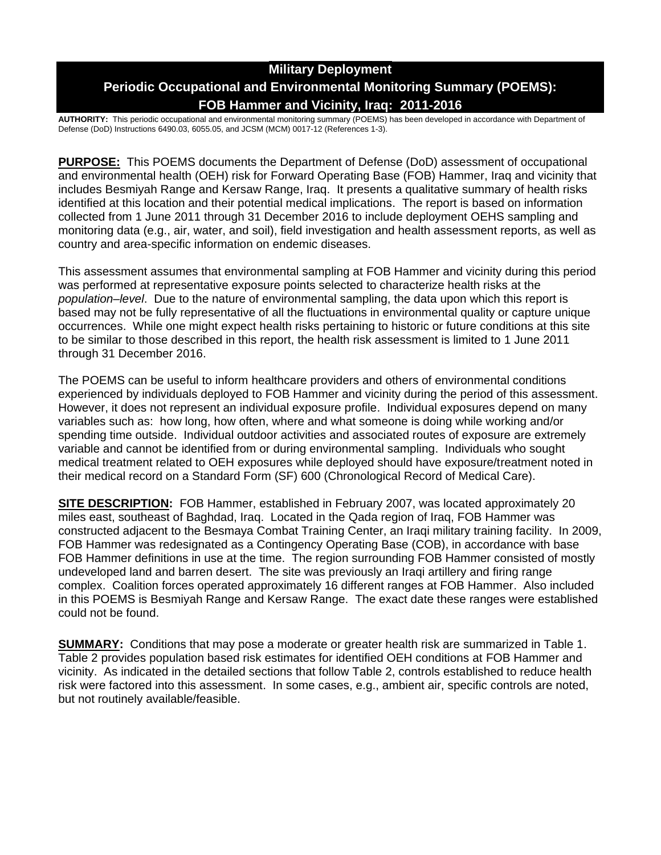# **Military Deployment Periodic Occupational and Environmental Monitoring Summary (POEMS): FOB Hammer and Vicinity, Iraq: 2011-2016**

**AUTHORITY:** This periodic occupational and environmental monitoring summary (POEMS) has been developed in accordance with Department of Defense (DoD) Instructions 6490.03, 6055.05, and JCSM (MCM) 0017-12 (References 1-3).

**PURPOSE:** This POEMS documents the Department of Defense (DoD) assessment of occupational and environmental health (OEH) risk for Forward Operating Base (FOB) Hammer, Iraq and vicinity that includes Besmiyah Range and Kersaw Range, Iraq. It presents a qualitative summary of health risks identified at this location and their potential medical implications. The report is based on information collected from 1 June 2011 through 31 December 2016 to include deployment OEHS sampling and monitoring data (e.g., air, water, and soil), field investigation and health assessment reports, as well as country and area-specific information on endemic diseases.

This assessment assumes that environmental sampling at FOB Hammer and vicinity during this period was performed at representative exposure points selected to characterize health risks at the *population–level*. Due to the nature of environmental sampling, the data upon which this report is based may not be fully representative of all the fluctuations in environmental quality or capture unique occurrences. While one might expect health risks pertaining to historic or future conditions at this site to be similar to those described in this report, the health risk assessment is limited to 1 June 2011 through 31 December 2016.

The POEMS can be useful to inform healthcare providers and others of environmental conditions experienced by individuals deployed to FOB Hammer and vicinity during the period of this assessment. However, it does not represent an individual exposure profile. Individual exposures depend on many variables such as: how long, how often, where and what someone is doing while working and/or spending time outside. Individual outdoor activities and associated routes of exposure are extremely variable and cannot be identified from or during environmental sampling. Individuals who sought medical treatment related to OEH exposures while deployed should have exposure/treatment noted in their medical record on a Standard Form (SF) 600 (Chronological Record of Medical Care).

**SITE DESCRIPTION:** FOB Hammer, established in February 2007, was located approximately 20 miles east, southeast of Baghdad, Iraq. Located in the Qada region of Iraq, FOB Hammer was constructed adjacent to the Besmaya Combat Training Center, an Iraqi military training facility. In 2009, FOB Hammer was redesignated as a Contingency Operating Base (COB), in accordance with base FOB Hammer definitions in use at the time. The region surrounding FOB Hammer consisted of mostly undeveloped land and barren desert. The site was previously an Iraqi artillery and firing range complex. Coalition forces operated approximately 16 different ranges at FOB Hammer. Also included in this POEMS is Besmiyah Range and Kersaw Range. The exact date these ranges were established could not be found.

**SUMMARY:** Conditions that may pose a moderate or greater health risk are summarized in Table 1. Table 2 provides population based risk estimates for identified OEH conditions at FOB Hammer and vicinity. As indicated in the detailed sections that follow Table 2, controls established to reduce health risk were factored into this assessment. In some cases, e.g., ambient air, specific controls are noted, but not routinely available/feasible.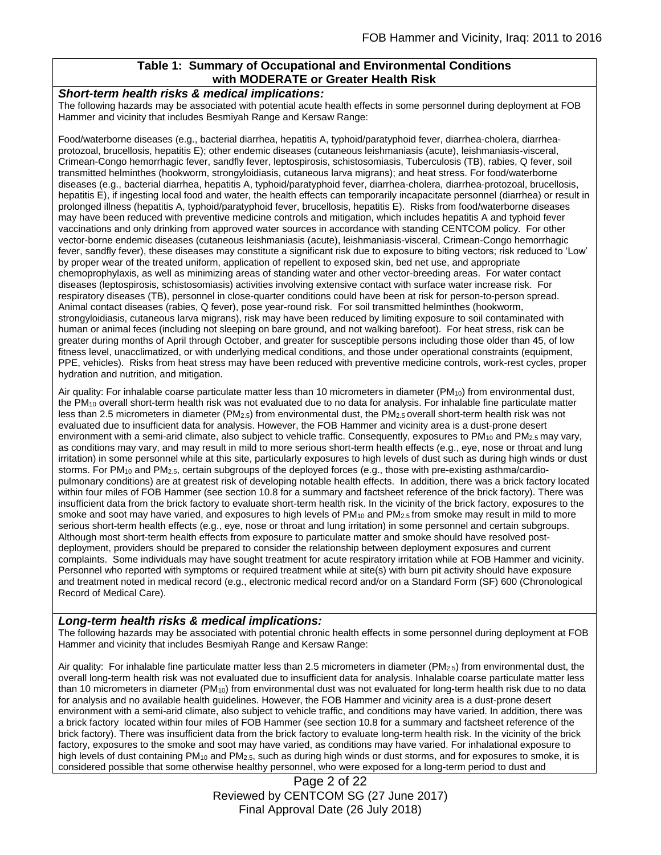# **Table 1: Summary of Occupational and Environmental Conditions with MODERATE or Greater Health Risk**

#### *Short-term health risks & medical implications:*

The following hazards may be associated with potential acute health effects in some personnel during deployment at FOB Hammer and vicinity that includes Besmiyah Range and Kersaw Range:

Food/waterborne diseases (e.g., bacterial diarrhea, hepatitis A, typhoid/paratyphoid fever, diarrhea-cholera, diarrheaprotozoal, brucellosis, hepatitis E); other endemic diseases (cutaneous leishmaniasis (acute), leishmaniasis-visceral, Crimean-Congo hemorrhagic fever, sandfly fever, leptospirosis, schistosomiasis, Tuberculosis (TB), rabies, Q fever, soil transmitted helminthes (hookworm, strongyloidiasis, cutaneous larva migrans); and heat stress. For food/waterborne diseases (e.g., bacterial diarrhea, hepatitis A, typhoid/paratyphoid fever, diarrhea-cholera, diarrhea-protozoal, brucellosis, hepatitis E), if ingesting local food and water, the health effects can temporarily incapacitate personnel (diarrhea) or result in prolonged illness (hepatitis A, typhoid/paratyphoid fever, brucellosis, hepatitis E). Risks from food/waterborne diseases may have been reduced with preventive medicine controls and mitigation, which includes hepatitis A and typhoid fever vaccinations and only drinking from approved water sources in accordance with standing CENTCOM policy. For other vector-borne endemic diseases (cutaneous leishmaniasis (acute), leishmaniasis-visceral, Crimean-Congo hemorrhagic fever, sandfly fever), these diseases may constitute a significant risk due to exposure to biting vectors; risk reduced to 'Low' by proper wear of the treated uniform, application of repellent to exposed skin, bed net use, and appropriate chemoprophylaxis, as well as minimizing areas of standing water and other vector-breeding areas. For water contact diseases (leptospirosis, schistosomiasis) activities involving extensive contact with surface water increase risk. For respiratory diseases (TB), personnel in close-quarter conditions could have been at risk for person-to-person spread. Animal contact diseases (rabies, Q fever), pose year-round risk. For soil transmitted helminthes (hookworm, strongyloidiasis, cutaneous larva migrans), risk may have been reduced by limiting exposure to soil contaminated with human or animal feces (including not sleeping on bare ground, and not walking barefoot). For heat stress, risk can be greater during months of April through October, and greater for susceptible persons including those older than 45, of low fitness level, unacclimatized, or with underlying medical conditions, and those under operational constraints (equipment, PPE, vehicles). Risks from heat stress may have been reduced with preventive medicine controls, work-rest cycles, proper hydration and nutrition, and mitigation.

Air quality: For inhalable coarse particulate matter less than 10 micrometers in diameter (PM10) from environmental dust, the PM<sup>10</sup> overall short-term health risk was not evaluated due to no data for analysis. For inhalable fine particulate matter less than 2.5 micrometers in diameter (PM<sub>2.5</sub>) from environmental dust, the PM<sub>2.5</sub> overall short-term health risk was not evaluated due to insufficient data for analysis. However, the FOB Hammer and vicinity area is a dust-prone desert environment with a semi-arid climate, also subject to vehicle traffic. Consequently, exposures to  $PM_{10}$  and  $PM_{2.5}$  may vary, as conditions may vary, and may result in mild to more serious short-term health effects (e.g., eye, nose or throat and lung irritation) in some personnel while at this site, particularly exposures to high levels of dust such as during high winds or dust storms. For PM<sub>10</sub> and PM<sub>2.5</sub>, certain subgroups of the deployed forces (e.g., those with pre-existing asthma/cardiopulmonary conditions) are at greatest risk of developing notable health effects. In addition, there was a brick factory located within four miles of FOB Hammer (see section 10.8 for a summary and factsheet reference of the brick factory). There was insufficient data from the brick factory to evaluate short-term health risk. In the vicinity of the brick factory, exposures to the smoke and soot may have varied, and exposures to high levels of PM<sub>10</sub> and PM<sub>2.5</sub> from smoke may result in mild to more serious short-term health effects (e.g., eye, nose or throat and lung irritation) in some personnel and certain subgroups. Although most short-term health effects from exposure to particulate matter and smoke should have resolved postdeployment, providers should be prepared to consider the relationship between deployment exposures and current complaints. Some individuals may have sought treatment for acute respiratory irritation while at FOB Hammer and vicinity. Personnel who reported with symptoms or required treatment while at site(s) with burn pit activity should have exposure and treatment noted in medical record (e.g., electronic medical record and/or on a Standard Form (SF) 600 (Chronological Record of Medical Care).

### *Long-term health risks & medical implications:*

The following hazards may be associated with potential chronic health effects in some personnel during deployment at FOB Hammer and vicinity that includes Besmiyah Range and Kersaw Range:

Air quality: For inhalable fine particulate matter less than 2.5 micrometers in diameter ( $PM_{2.5}$ ) from environmental dust, the overall long-term health risk was not evaluated due to insufficient data for analysis. Inhalable coarse particulate matter less than 10 micrometers in diameter (PM<sub>10</sub>) from environmental dust was not evaluated for long-term health risk due to no data for analysis and no available health guidelines. However, the FOB Hammer and vicinity area is a dust-prone desert environment with a semi-arid climate, also subject to vehicle traffic, and conditions may have varied. In addition, there was a brick factory located within four miles of FOB Hammer (see section 10.8 for a summary and factsheet reference of the brick factory). There was insufficient data from the brick factory to evaluate long-term health risk. In the vicinity of the brick factory, exposures to the smoke and soot may have varied, as conditions may have varied. For inhalational exposure to high levels of dust containing PM<sub>10</sub> and PM<sub>2.5</sub>, such as during high winds or dust storms, and for exposures to smoke, it is considered possible that some otherwise healthy personnel, who were exposed for a long-term period to dust and

> Page 2 of 22 Reviewed by CENTCOM SG (27 June 2017) Final Approval Date (26 July 2018)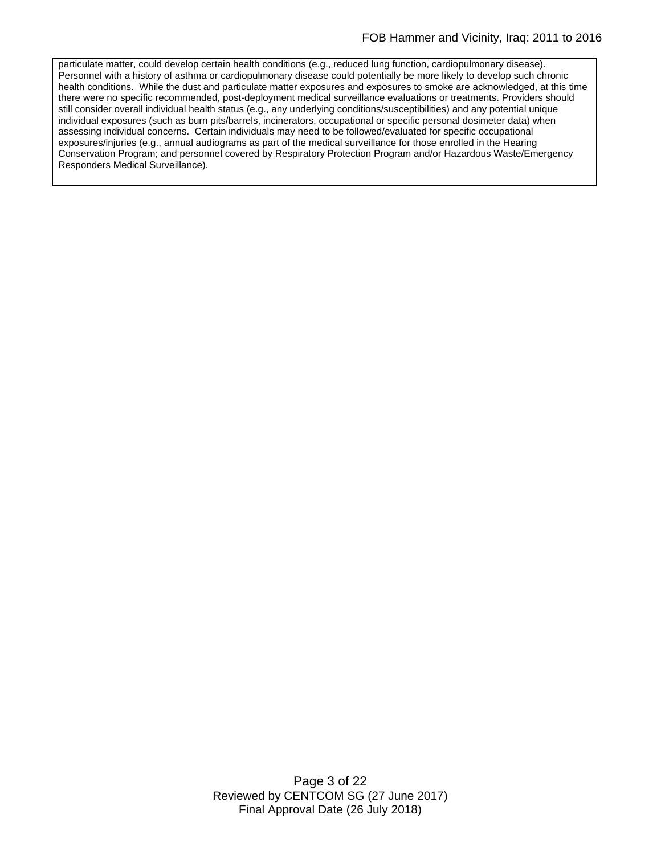particulate matter, could develop certain health conditions (e.g., reduced lung function, cardiopulmonary disease). Personnel with a history of asthma or cardiopulmonary disease could potentially be more likely to develop such chronic health conditions. While the dust and particulate matter exposures and exposures to smoke are acknowledged, at this time there were no specific recommended, post-deployment medical surveillance evaluations or treatments. Providers should still consider overall individual health status (e.g., any underlying conditions/susceptibilities) and any potential unique individual exposures (such as burn pits/barrels, incinerators, occupational or specific personal dosimeter data) when assessing individual concerns. Certain individuals may need to be followed/evaluated for specific occupational exposures/injuries (e.g., annual audiograms as part of the medical surveillance for those enrolled in the Hearing Conservation Program; and personnel covered by Respiratory Protection Program and/or Hazardous Waste/Emergency Responders Medical Surveillance).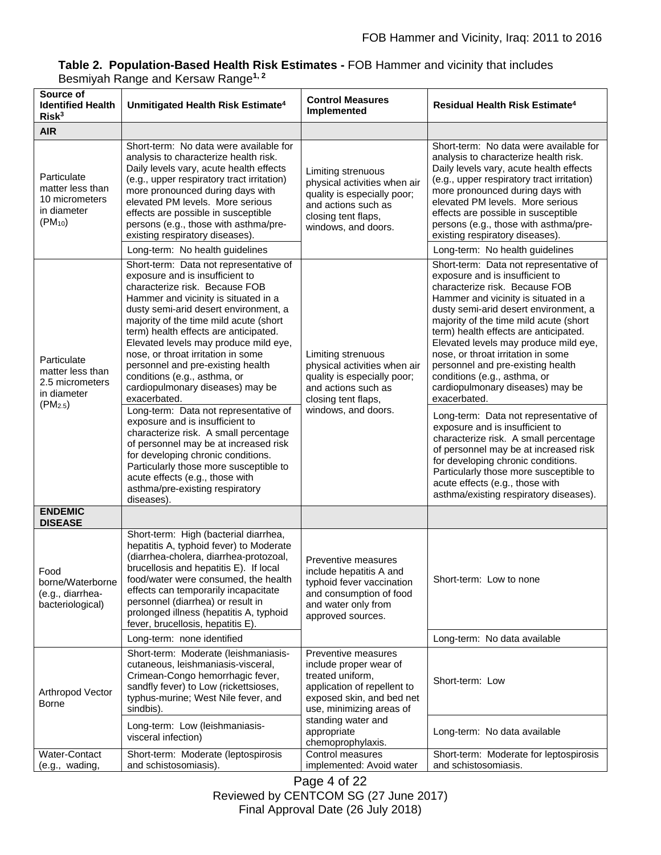| Source of<br><b>Identified Health</b><br>Risk <sup>3</sup>                                | Unmitigated Health Risk Estimate <sup>4</sup>                                                                                                                                                                                                                                                                                                                                                                                                                                                                                                                                                                                                                                                                                                                                                                            | <b>Control Measures</b><br>Implemented                                                                                                                                                                              | <b>Residual Health Risk Estimate<sup>4</sup></b>                                                                                                                                                                                                                                                                                                                                                                                                                                                                                                                                                                                                                                                                                                                                                                   |
|-------------------------------------------------------------------------------------------|--------------------------------------------------------------------------------------------------------------------------------------------------------------------------------------------------------------------------------------------------------------------------------------------------------------------------------------------------------------------------------------------------------------------------------------------------------------------------------------------------------------------------------------------------------------------------------------------------------------------------------------------------------------------------------------------------------------------------------------------------------------------------------------------------------------------------|---------------------------------------------------------------------------------------------------------------------------------------------------------------------------------------------------------------------|--------------------------------------------------------------------------------------------------------------------------------------------------------------------------------------------------------------------------------------------------------------------------------------------------------------------------------------------------------------------------------------------------------------------------------------------------------------------------------------------------------------------------------------------------------------------------------------------------------------------------------------------------------------------------------------------------------------------------------------------------------------------------------------------------------------------|
| <b>AIR</b>                                                                                |                                                                                                                                                                                                                                                                                                                                                                                                                                                                                                                                                                                                                                                                                                                                                                                                                          |                                                                                                                                                                                                                     |                                                                                                                                                                                                                                                                                                                                                                                                                                                                                                                                                                                                                                                                                                                                                                                                                    |
| Particulate<br>matter less than<br>10 micrometers<br>in diameter<br>$(PM_{10})$           | Short-term: No data were available for<br>analysis to characterize health risk.<br>Daily levels vary, acute health effects<br>(e.g., upper respiratory tract irritation)<br>more pronounced during days with<br>elevated PM levels. More serious<br>effects are possible in susceptible<br>persons (e.g., those with asthma/pre-<br>existing respiratory diseases).<br>Long-term: No health guidelines                                                                                                                                                                                                                                                                                                                                                                                                                   | Limiting strenuous<br>physical activities when air<br>quality is especially poor;<br>and actions such as<br>closing tent flaps,<br>windows, and doors.                                                              | Short-term: No data were available for<br>analysis to characterize health risk.<br>Daily levels vary, acute health effects<br>(e.g., upper respiratory tract irritation)<br>more pronounced during days with<br>elevated PM levels. More serious<br>effects are possible in susceptible<br>persons (e.g., those with asthma/pre-<br>existing respiratory diseases).<br>Long-term: No health guidelines                                                                                                                                                                                                                                                                                                                                                                                                             |
| Particulate<br>matter less than<br>2.5 micrometers<br>in diameter<br>(PM <sub>2.5</sub> ) | Short-term: Data not representative of<br>exposure and is insufficient to<br>characterize risk. Because FOB<br>Hammer and vicinity is situated in a<br>dusty semi-arid desert environment, a<br>majority of the time mild acute (short<br>term) health effects are anticipated.<br>Elevated levels may produce mild eye,<br>nose, or throat irritation in some<br>personnel and pre-existing health<br>conditions (e.g., asthma, or<br>cardiopulmonary diseases) may be<br>exacerbated.<br>Long-term: Data not representative of<br>exposure and is insufficient to<br>characterize risk. A small percentage<br>of personnel may be at increased risk<br>for developing chronic conditions.<br>Particularly those more susceptible to<br>acute effects (e.g., those with<br>asthma/pre-existing respiratory<br>diseases) | Limiting strenuous<br>physical activities when air<br>quality is especially poor;<br>and actions such as<br>closing tent flaps,<br>windows, and doors.                                                              | Short-term: Data not representative of<br>exposure and is insufficient to<br>characterize risk. Because FOB<br>Hammer and vicinity is situated in a<br>dusty semi-arid desert environment, a<br>majority of the time mild acute (short<br>term) health effects are anticipated.<br>Elevated levels may produce mild eye,<br>nose, or throat irritation in some<br>personnel and pre-existing health<br>conditions (e.g., asthma, or<br>cardiopulmonary diseases) may be<br>exacerbated.<br>Long-term: Data not representative of<br>exposure and is insufficient to<br>characterize risk. A small percentage<br>of personnel may be at increased risk<br>for developing chronic conditions.<br>Particularly those more susceptible to<br>acute effects (e.g., those with<br>asthma/existing respiratory diseases). |
| <b>ENDEMIC</b><br><b>DISEASE</b>                                                          |                                                                                                                                                                                                                                                                                                                                                                                                                                                                                                                                                                                                                                                                                                                                                                                                                          |                                                                                                                                                                                                                     |                                                                                                                                                                                                                                                                                                                                                                                                                                                                                                                                                                                                                                                                                                                                                                                                                    |
| Food<br>borne/Waterborne<br>(e.g., diarrhea-<br>bacteriological)                          | Short-term: High (bacterial diarrhea,<br>hepatitis A, typhoid fever) to Moderate<br>(diarrhea-cholera, diarrhea-protozoal,<br>brucellosis and hepatitis E). If local<br>food/water were consumed, the health<br>effects can temporarily incapacitate<br>personnel (diarrhea) or result in<br>prolonged illness (hepatitis A, typhoid<br>fever, brucellosis, hepatitis E).                                                                                                                                                                                                                                                                                                                                                                                                                                                | Preventive measures<br>include hepatitis A and<br>typhoid fever vaccination<br>and consumption of food<br>and water only from<br>approved sources.                                                                  | Short-term: Low to none                                                                                                                                                                                                                                                                                                                                                                                                                                                                                                                                                                                                                                                                                                                                                                                            |
|                                                                                           | Long-term: none identified                                                                                                                                                                                                                                                                                                                                                                                                                                                                                                                                                                                                                                                                                                                                                                                               |                                                                                                                                                                                                                     | Long-term: No data available                                                                                                                                                                                                                                                                                                                                                                                                                                                                                                                                                                                                                                                                                                                                                                                       |
| Arthropod Vector<br><b>Borne</b>                                                          | Short-term: Moderate (leishmaniasis-<br>cutaneous, leishmaniasis-visceral,<br>Crimean-Congo hemorrhagic fever,<br>sandfly fever) to Low (rickettsioses,<br>typhus-murine; West Nile fever, and<br>sindbis).                                                                                                                                                                                                                                                                                                                                                                                                                                                                                                                                                                                                              | Preventive measures<br>include proper wear of<br>treated uniform,<br>application of repellent to<br>exposed skin, and bed net<br>use, minimizing areas of<br>standing water and<br>appropriate<br>chemoprophylaxis. | Short-term: Low                                                                                                                                                                                                                                                                                                                                                                                                                                                                                                                                                                                                                                                                                                                                                                                                    |
|                                                                                           | Long-term: Low (leishmaniasis-<br>visceral infection)                                                                                                                                                                                                                                                                                                                                                                                                                                                                                                                                                                                                                                                                                                                                                                    |                                                                                                                                                                                                                     | Long-term: No data available                                                                                                                                                                                                                                                                                                                                                                                                                                                                                                                                                                                                                                                                                                                                                                                       |
| Water-Contact<br>(e.g., wading,                                                           | Short-term: Moderate (leptospirosis<br>and schistosomiasis).                                                                                                                                                                                                                                                                                                                                                                                                                                                                                                                                                                                                                                                                                                                                                             | Control measures<br>implemented: Avoid water                                                                                                                                                                        | Short-term: Moderate for leptospirosis<br>and schistosomiasis.                                                                                                                                                                                                                                                                                                                                                                                                                                                                                                                                                                                                                                                                                                                                                     |

## **Table 2. Population-Based Health Risk Estimates -** FOB Hammer and vicinity that includes Besmiyah Range and Kersaw Range**1, 2**

Page 4 of 22 Reviewed by CENTCOM SG (27 June 2017) Final Approval Date (26 July 2018)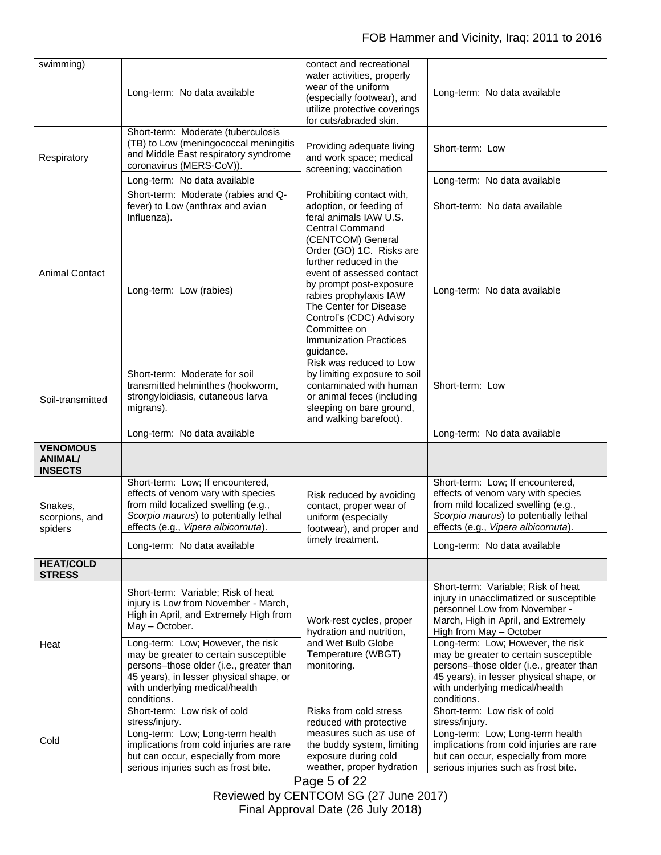| swimming)                                           | Long-term: No data available                                                                                                                                                                                                                                                                                                                                | contact and recreational<br>water activities, properly<br>wear of the uniform<br>(especially footwear), and<br>utilize protective coverings<br>for cuts/abraded skin.                                                                                                                                   | Long-term: No data available                                                                                                                                                                                                                                                                                                                                                                          |
|-----------------------------------------------------|-------------------------------------------------------------------------------------------------------------------------------------------------------------------------------------------------------------------------------------------------------------------------------------------------------------------------------------------------------------|---------------------------------------------------------------------------------------------------------------------------------------------------------------------------------------------------------------------------------------------------------------------------------------------------------|-------------------------------------------------------------------------------------------------------------------------------------------------------------------------------------------------------------------------------------------------------------------------------------------------------------------------------------------------------------------------------------------------------|
| Respiratory                                         | Short-term: Moderate (tuberculosis<br>(TB) to Low (meningococcal meningitis<br>and Middle East respiratory syndrome<br>coronavirus (MERS-CoV)).                                                                                                                                                                                                             | Providing adequate living<br>and work space; medical<br>screening; vaccination                                                                                                                                                                                                                          | Short-term: Low                                                                                                                                                                                                                                                                                                                                                                                       |
|                                                     | Long-term: No data available                                                                                                                                                                                                                                                                                                                                |                                                                                                                                                                                                                                                                                                         | Long-term: No data available                                                                                                                                                                                                                                                                                                                                                                          |
|                                                     | Short-term: Moderate (rabies and Q-<br>fever) to Low (anthrax and avian<br>Influenza).                                                                                                                                                                                                                                                                      | Prohibiting contact with,<br>adoption, or feeding of<br>feral animals IAW U.S.                                                                                                                                                                                                                          | Short-term: No data available                                                                                                                                                                                                                                                                                                                                                                         |
| <b>Animal Contact</b>                               | Long-term: Low (rabies)                                                                                                                                                                                                                                                                                                                                     | <b>Central Command</b><br>(CENTCOM) General<br>Order (GO) 1C. Risks are<br>further reduced in the<br>event of assessed contact<br>by prompt post-exposure<br>rabies prophylaxis IAW<br>The Center for Disease<br>Control's (CDC) Advisory<br>Committee on<br><b>Immunization Practices</b><br>guidance. | Long-term: No data available                                                                                                                                                                                                                                                                                                                                                                          |
| Soil-transmitted                                    | Short-term: Moderate for soil<br>transmitted helminthes (hookworm,<br>strongyloidiasis, cutaneous larva<br>migrans).                                                                                                                                                                                                                                        | Risk was reduced to Low<br>by limiting exposure to soil<br>contaminated with human<br>or animal feces (including<br>sleeping on bare ground,<br>and walking barefoot).                                                                                                                                  | Short-term: Low                                                                                                                                                                                                                                                                                                                                                                                       |
|                                                     | Long-term: No data available                                                                                                                                                                                                                                                                                                                                |                                                                                                                                                                                                                                                                                                         | Long-term: No data available                                                                                                                                                                                                                                                                                                                                                                          |
| <b>VENOMOUS</b><br><b>ANIMAL/</b><br><b>INSECTS</b> |                                                                                                                                                                                                                                                                                                                                                             |                                                                                                                                                                                                                                                                                                         |                                                                                                                                                                                                                                                                                                                                                                                                       |
| Snakes,<br>scorpions, and<br>spiders                | Short-term: Low; If encountered,<br>effects of venom vary with species<br>from mild localized swelling (e.g.,<br>Scorpio maurus) to potentially lethal<br>effects (e.g., Vipera albicornuta).                                                                                                                                                               | Risk reduced by avoiding<br>contact, proper wear of<br>uniform (especially<br>footwear), and proper and<br>timely treatment.                                                                                                                                                                            | Short-term: Low; If encountered,<br>effects of venom vary with species<br>from mild localized swelling (e.g.,<br>Scorpio maurus) to potentially lethal<br>effects (e.g., Vipera albicornuta).                                                                                                                                                                                                         |
|                                                     | Long-term: No data available                                                                                                                                                                                                                                                                                                                                |                                                                                                                                                                                                                                                                                                         | Long-term: No data available                                                                                                                                                                                                                                                                                                                                                                          |
| <b>HEAT/COLD</b><br><b>STRESS</b>                   |                                                                                                                                                                                                                                                                                                                                                             |                                                                                                                                                                                                                                                                                                         |                                                                                                                                                                                                                                                                                                                                                                                                       |
| Heat                                                | Short-term: Variable; Risk of heat<br>injury is Low from November - March,<br>High in April, and Extremely High from<br>May - October.<br>Long-term: Low; However, the risk<br>may be greater to certain susceptible<br>persons-those older (i.e., greater than<br>45 years), in lesser physical shape, or<br>with underlying medical/health<br>conditions. | Work-rest cycles, proper<br>hydration and nutrition,<br>and Wet Bulb Globe<br>Temperature (WBGT)<br>monitoring.                                                                                                                                                                                         | Short-term: Variable; Risk of heat<br>injury in unacclimatized or susceptible<br>personnel Low from November -<br>March, High in April, and Extremely<br>High from May - October<br>Long-term: Low; However, the risk<br>may be greater to certain susceptible<br>persons-those older (i.e., greater than<br>45 years), in lesser physical shape, or<br>with underlying medical/health<br>conditions. |
| Cold                                                | Short-term: Low risk of cold<br>stress/injury.<br>Long-term: Low; Long-term health<br>implications from cold injuries are rare<br>but can occur, especially from more<br>serious injuries such as frost bite.                                                                                                                                               | Risks from cold stress<br>reduced with protective<br>measures such as use of<br>the buddy system, limiting<br>exposure during cold<br>weather, proper hydration                                                                                                                                         | Short-term: Low risk of cold<br>stress/injury.<br>Long-term: Low; Long-term health<br>implications from cold injuries are rare<br>but can occur, especially from more<br>serious injuries such as frost bite.                                                                                                                                                                                         |

Page 5 of 22 Reviewed by CENTCOM SG (27 June 2017) Final Approval Date (26 July 2018)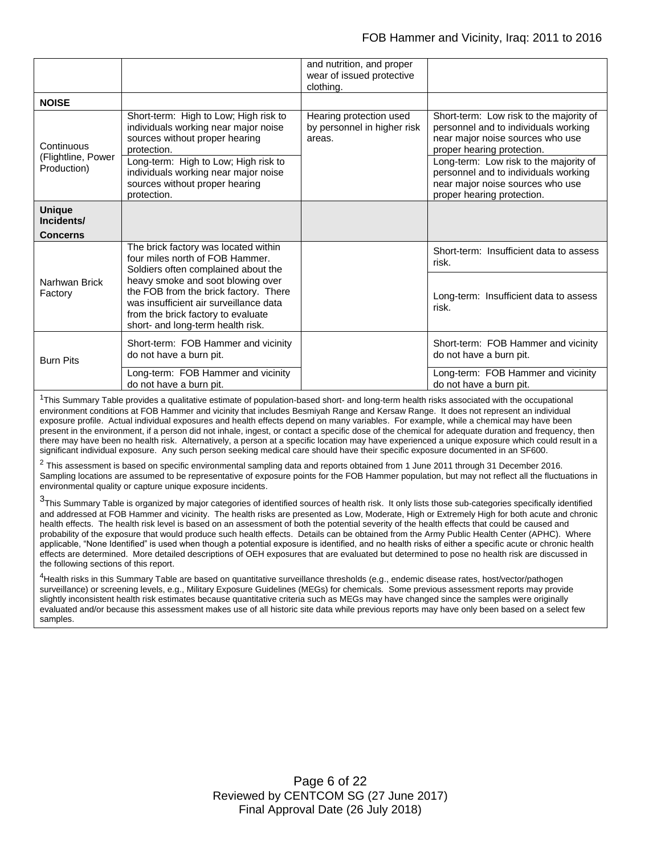|                                                 |                                                                                                                                                                                                 | and nutrition, and proper<br>wear of issued protective<br>clothing. |                                                                                                                                                                                             |
|-------------------------------------------------|-------------------------------------------------------------------------------------------------------------------------------------------------------------------------------------------------|---------------------------------------------------------------------|---------------------------------------------------------------------------------------------------------------------------------------------------------------------------------------------|
| <b>NOISE</b>                                    |                                                                                                                                                                                                 |                                                                     |                                                                                                                                                                                             |
| Continuous<br>(Flightline, Power<br>Production) | Short-term: High to Low; High risk to<br>individuals working near major noise<br>sources without proper hearing<br>protection.<br>Long-term: High to Low; High risk to                          | Hearing protection used<br>by personnel in higher risk<br>areas.    | Short-term: Low risk to the majority of<br>personnel and to individuals working<br>near major noise sources who use<br>proper hearing protection.<br>Long-term: Low risk to the majority of |
|                                                 | individuals working near major noise<br>sources without proper hearing<br>protection.                                                                                                           |                                                                     | personnel and to individuals working<br>near major noise sources who use<br>proper hearing protection.                                                                                      |
| <b>Unique</b><br>Incidents/                     |                                                                                                                                                                                                 |                                                                     |                                                                                                                                                                                             |
| <b>Concerns</b>                                 |                                                                                                                                                                                                 |                                                                     |                                                                                                                                                                                             |
| Narhwan Brick<br>Factory                        | The brick factory was located within<br>four miles north of FOB Hammer.<br>Soldiers often complained about the                                                                                  |                                                                     | Short-term: Insufficient data to assess<br>risk.                                                                                                                                            |
|                                                 | heavy smoke and soot blowing over<br>the FOB from the brick factory. There<br>was insufficient air surveillance data<br>from the brick factory to evaluate<br>short- and long-term health risk. |                                                                     | Long-term: Insufficient data to assess<br>risk.                                                                                                                                             |
| <b>Burn Pits</b>                                | Short-term: FOB Hammer and vicinity<br>do not have a burn pit.                                                                                                                                  |                                                                     | Short-term: FOB Hammer and vicinity<br>do not have a burn pit.                                                                                                                              |
|                                                 | Long-term: FOB Hammer and vicinity<br>do not have a burn pit.                                                                                                                                   |                                                                     | Long-term: FOB Hammer and vicinity<br>do not have a burn pit.                                                                                                                               |

 $1$ This Summary Table provides a qualitative estimate of population-based short- and long-term health risks associated with the occupational environment conditions at FOB Hammer and vicinity that includes Besmiyah Range and Kersaw Range. It does not represent an individual exposure profile. Actual individual exposures and health effects depend on many variables. For example, while a chemical may have been present in the environment, if a person did not inhale, ingest, or contact a specific dose of the chemical for adequate duration and frequency, then there may have been no health risk. Alternatively, a person at a specific location may have experienced a unique exposure which could result in a significant individual exposure. Any such person seeking medical care should have their specific exposure documented in an SF600.

 $^2$  This assessment is based on specific environmental sampling data and reports obtained from 1 June 2011 through 31 December 2016. Sampling locations are assumed to be representative of exposure points for the FOB Hammer population, but may not reflect all the fluctuations in environmental quality or capture unique exposure incidents.

<sup>3</sup>This Summary Table is organized by major categories of identified sources of health risk. It only lists those sub-categories specifically identified and addressed at FOB Hammer and vicinity. The health risks are presented as Low, Moderate, High or Extremely High for both acute and chronic health effects. The health risk level is based on an assessment of both the potential severity of the health effects that could be caused and probability of the exposure that would produce such health effects. Details can be obtained from the Army Public Health Center (APHC). Where applicable, "None Identified" is used when though a potential exposure is identified, and no health risks of either a specific acute or chronic health effects are determined. More detailed descriptions of OEH exposures that are evaluated but determined to pose no health risk are discussed in the following sections of this report.

<sup>4</sup>Health risks in this Summary Table are based on quantitative surveillance thresholds (e.g., endemic disease rates, host/vector/pathogen surveillance) or screening levels, e.g., Military Exposure Guidelines (MEGs) for chemicals*.* Some previous assessment reports may provide slightly inconsistent health risk estimates because quantitative criteria such as MEGs may have changed since the samples were originally evaluated and/or because this assessment makes use of all historic site data while previous reports may have only been based on a select few samples.

> Page 6 of 22 Reviewed by CENTCOM SG (27 June 2017) Final Approval Date (26 July 2018)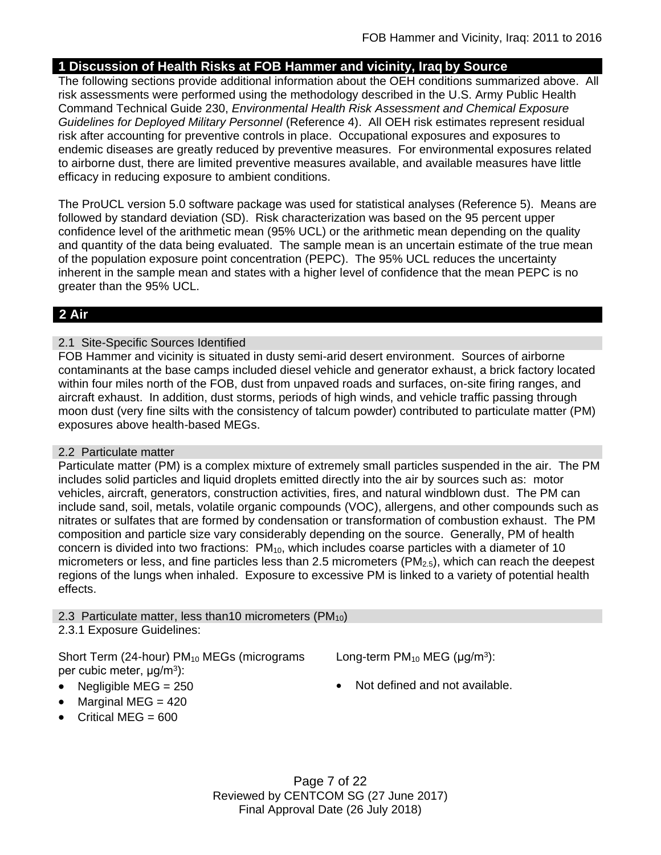# **1 Discussion of Health Risks at FOB Hammer and vicinity, Iraq by Source**

The following sections provide additional information about the OEH conditions summarized above. All risk assessments were performed using the methodology described in the U.S. Army Public Health Command Technical Guide 230, *Environmental Health Risk Assessment and Chemical Exposure Guidelines for Deployed Military Personnel* (Reference 4). All OEH risk estimates represent residual risk after accounting for preventive controls in place. Occupational exposures and exposures to endemic diseases are greatly reduced by preventive measures. For environmental exposures related to airborne dust, there are limited preventive measures available, and available measures have little efficacy in reducing exposure to ambient conditions.

The ProUCL version 5.0 software package was used for statistical analyses (Reference 5). Means are followed by standard deviation (SD). Risk characterization was based on the 95 percent upper confidence level of the arithmetic mean (95% UCL) or the arithmetic mean depending on the quality and quantity of the data being evaluated. The sample mean is an uncertain estimate of the true mean of the population exposure point concentration (PEPC). The 95% UCL reduces the uncertainty inherent in the sample mean and states with a higher level of confidence that the mean PEPC is no greater than the 95% UCL.

# **2 Air**

# 2.1 Site-Specific Sources Identified

FOB Hammer and vicinity is situated in dusty semi-arid desert environment. Sources of airborne contaminants at the base camps included diesel vehicle and generator exhaust, a brick factory located within four miles north of the FOB, dust from unpaved roads and surfaces, on-site firing ranges, and aircraft exhaust. In addition, dust storms, periods of high winds, and vehicle traffic passing through moon dust (very fine silts with the consistency of talcum powder) contributed to particulate matter (PM) exposures above health-based MEGs.

# 2.2 Particulate matter

Particulate matter (PM) is a complex mixture of extremely small particles suspended in the air. The PM includes solid particles and liquid droplets emitted directly into the air by sources such as: motor vehicles, aircraft, generators, construction activities, fires, and natural windblown dust. The PM can include sand, soil, metals, volatile organic compounds (VOC), allergens, and other compounds such as nitrates or sulfates that are formed by condensation or transformation of combustion exhaust. The PM composition and particle size vary considerably depending on the source. Generally, PM of health concern is divided into two fractions:  $PM_{10}$ , which includes coarse particles with a diameter of 10 micrometers or less, and fine particles less than 2.5 micrometers ( $PM_{2.5}$ ), which can reach the deepest regions of the lungs when inhaled. Exposure to excessive PM is linked to a variety of potential health effects.

2.3 Particulate matter, less than 10 micrometers ( $PM_{10}$ )

# 2.3.1 Exposure Guidelines:

Short Term (24-hour)  $PM_{10}$  MEGs (micrograms per cubic meter, μg/m<sup>3</sup>):

Long-term  $PM_{10}$  MEG ( $\mu$ g/m<sup>3</sup>):

- 
- Negligible  $MEG = 250$  **Not defined and not available.**
- $\bullet$  Marginal MEG = 420  $\bullet$  Critical MEG = 600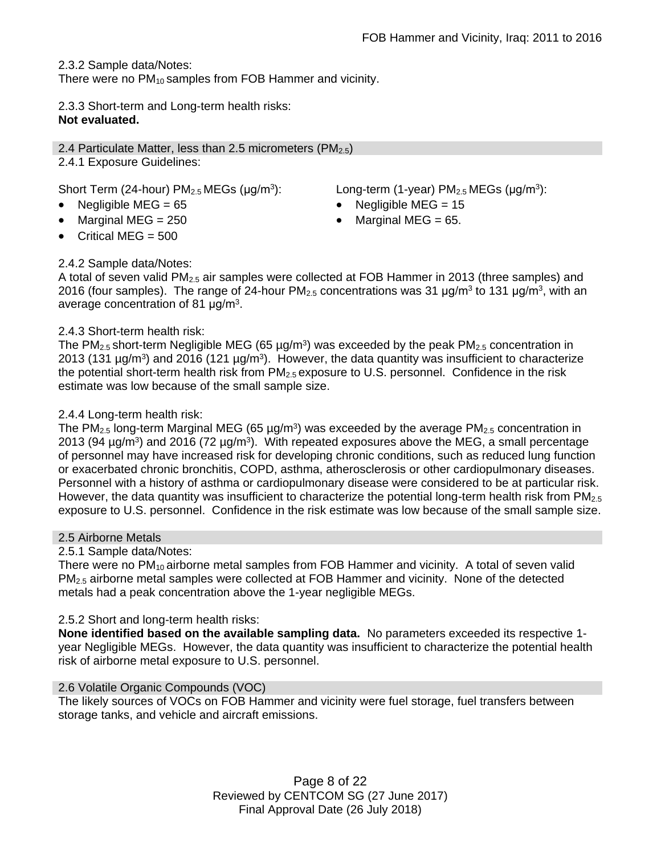2.3.2 Sample data/Notes:

There were no PM<sub>10</sub> samples from FOB Hammer and vicinity.

2.3.3 Short-term and Long-term health risks: **Not evaluated.**

2.4 Particulate Matter, less than 2.5 micrometers (PM<sub>2.5</sub>) 2.4.1 Exposure Guidelines:

Short Term (24-hour)  $PM<sub>2.5</sub> MEGs$  (µg/m<sup>3</sup>):

- 
- 
- Critical MEG = 500

# 2.4.2 Sample data/Notes:

): Long-term (1-year)  $PM_{2.5}$  MEGs ( $\mu$ g/m<sup>3</sup>):

- Negligible MEG = 65 Negligible MEG = 15
- Marginal MEG =  $250$   $\bullet$  Marginal MEG =  $65$ .

A total of seven valid PM2.5 air samples were collected at FOB Hammer in 2013 (three samples) and 2016 (four samples). The range of 24-hour PM<sub>2.5</sub> concentrations was 31  $\mu$ g/m<sup>3</sup> to 131  $\mu$ g/m<sup>3</sup>, with an average concentration of 81  $\mu$ g/m<sup>3</sup>.

## 2.4.3 Short-term health risk:

The PM<sub>2.5</sub> short-term Negligible MEG (65  $\mu$ g/m<sup>3</sup>) was exceeded by the peak PM<sub>2.5</sub> concentration in 2013 (131  $\mu$ g/m<sup>3</sup>) and 2016 (121  $\mu$ g/m<sup>3</sup>). However, the data quantity was insufficient to characterize the potential short-term health risk from  $PM_{2.5}$  exposure to U.S. personnel. Confidence in the risk estimate was low because of the small sample size.

# 2.4.4 Long-term health risk:

The PM<sub>2.5</sub> long-term Marginal MEG (65 µg/m<sup>3</sup>) was exceeded by the average PM<sub>2.5</sub> concentration in 2013 (94  $\mu$ g/m<sup>3</sup>) and 2016 (72  $\mu$ g/m<sup>3</sup>). With repeated exposures above the MEG, a small percentage of personnel may have increased risk for developing chronic conditions, such as reduced lung function or exacerbated chronic bronchitis, COPD, asthma, atherosclerosis or other cardiopulmonary diseases. Personnel with a history of asthma or cardiopulmonary disease were considered to be at particular risk. However, the data quantity was insufficient to characterize the potential long-term health risk from  $PM_{2.5}$ exposure to U.S. personnel. Confidence in the risk estimate was low because of the small sample size.

### 2.5 Airborne Metals

2.5.1 Sample data/Notes:

There were no PM<sub>10</sub> airborne metal samples from FOB Hammer and vicinity. A total of seven valid  $PM<sub>2.5</sub>$  airborne metal samples were collected at FOB Hammer and vicinity. None of the detected metals had a peak concentration above the 1-year negligible MEGs.

# 2.5.2 Short and long-term health risks:

**None identified based on the available sampling data.** No parameters exceeded its respective 1 year Negligible MEGs. However, the data quantity was insufficient to characterize the potential health risk of airborne metal exposure to U.S. personnel.

### 2.6 Volatile Organic Compounds (VOC)

The likely sources of VOCs on FOB Hammer and vicinity were fuel storage, fuel transfers between storage tanks, and vehicle and aircraft emissions.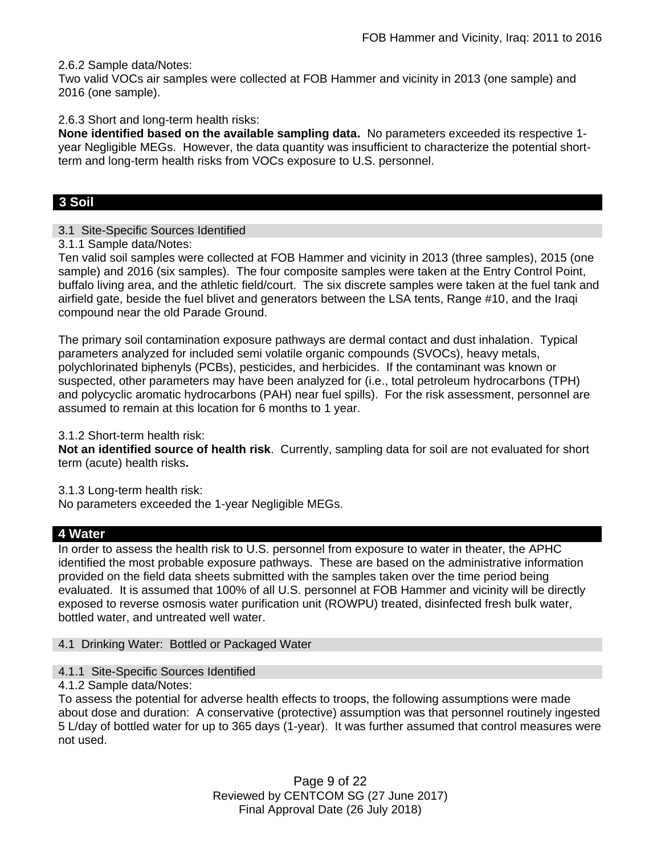2.6.2 Sample data/Notes:

Two valid VOCs air samples were collected at FOB Hammer and vicinity in 2013 (one sample) and 2016 (one sample).

2.6.3 Short and long-term health risks:

**None identified based on the available sampling data.** No parameters exceeded its respective 1 year Negligible MEGs. However, the data quantity was insufficient to characterize the potential shortterm and long-term health risks from VOCs exposure to U.S. personnel.

# **3 Soil**

## 3.1 Site-Specific Sources Identified

3.1.1 Sample data/Notes:

Ten valid soil samples were collected at FOB Hammer and vicinity in 2013 (three samples), 2015 (one sample) and 2016 (six samples). The four composite samples were taken at the Entry Control Point, buffalo living area, and the athletic field/court. The six discrete samples were taken at the fuel tank and airfield gate, beside the fuel blivet and generators between the LSA tents, Range #10, and the Iraqi compound near the old Parade Ground.

The primary soil contamination exposure pathways are dermal contact and dust inhalation. Typical parameters analyzed for included semi volatile organic compounds (SVOCs), heavy metals, polychlorinated biphenyls (PCBs), pesticides, and herbicides. If the contaminant was known or suspected, other parameters may have been analyzed for (i.e., total petroleum hydrocarbons (TPH) and polycyclic aromatic hydrocarbons (PAH) near fuel spills). For the risk assessment, personnel are assumed to remain at this location for 6 months to 1 year.

3.1.2 Short-term health risk:

**Not an identified source of health risk**. Currently, sampling data for soil are not evaluated for short term (acute) health risks**.**

3.1.3 Long-term health risk:

No parameters exceeded the 1-year Negligible MEGs.

# **4 Water**

In order to assess the health risk to U.S. personnel from exposure to water in theater, the APHC identified the most probable exposure pathways. These are based on the administrative information provided on the field data sheets submitted with the samples taken over the time period being evaluated. It is assumed that 100% of all U.S. personnel at FOB Hammer and vicinity will be directly exposed to reverse osmosis water purification unit (ROWPU) treated, disinfected fresh bulk water, bottled water, and untreated well water.

### 4.1 Drinking Water: Bottled or Packaged Water

- 4.1.1 Site-Specific Sources Identified
- 4.1.2 Sample data/Notes:

To assess the potential for adverse health effects to troops, the following assumptions were made about dose and duration: A conservative (protective) assumption was that personnel routinely ingested 5 L/day of bottled water for up to 365 days (1-year). It was further assumed that control measures were not used.

> Page 9 of 22 Reviewed by CENTCOM SG (27 June 2017) Final Approval Date (26 July 2018)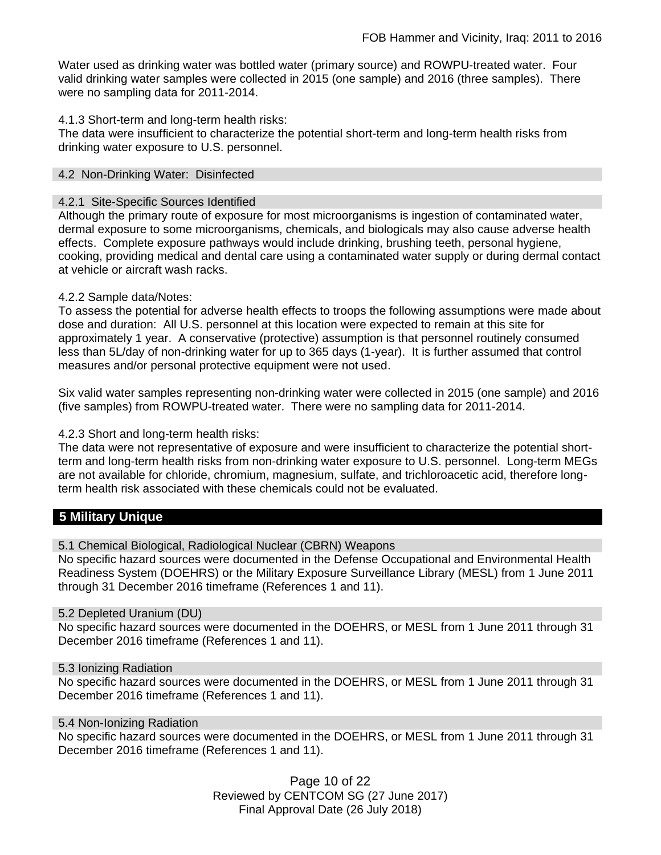Water used as drinking water was bottled water (primary source) and ROWPU-treated water. Four valid drinking water samples were collected in 2015 (one sample) and 2016 (three samples). There were no sampling data for 2011-2014.

## 4.1.3 Short-term and long-term health risks:

The data were insufficient to characterize the potential short-term and long-term health risks from drinking water exposure to U.S. personnel.

### 4.2 Non-Drinking Water: Disinfected

### 4.2.1 Site-Specific Sources Identified

Although the primary route of exposure for most microorganisms is ingestion of contaminated water, dermal exposure to some microorganisms, chemicals, and biologicals may also cause adverse health effects. Complete exposure pathways would include drinking, brushing teeth, personal hygiene, cooking, providing medical and dental care using a contaminated water supply or during dermal contact at vehicle or aircraft wash racks.

### 4.2.2 Sample data/Notes:

To assess the potential for adverse health effects to troops the following assumptions were made about dose and duration: All U.S. personnel at this location were expected to remain at this site for approximately 1 year. A conservative (protective) assumption is that personnel routinely consumed less than 5L/day of non-drinking water for up to 365 days (1-year). It is further assumed that control measures and/or personal protective equipment were not used.

Six valid water samples representing non-drinking water were collected in 2015 (one sample) and 2016 (five samples) from ROWPU-treated water. There were no sampling data for 2011-2014.

4.2.3 Short and long-term health risks:

The data were not representative of exposure and were insufficient to characterize the potential shortterm and long-term health risks from non-drinking water exposure to U.S. personnel. Long-term MEGs are not available for chloride, chromium, magnesium, sulfate, and trichloroacetic acid, therefore longterm health risk associated with these chemicals could not be evaluated.

# **5 Military Unique**

5.1 Chemical Biological, Radiological Nuclear (CBRN) Weapons

No specific hazard sources were documented in the Defense Occupational and Environmental Health Readiness System (DOEHRS) or the Military Exposure Surveillance Library (MESL) from 1 June 2011 through 31 December 2016 timeframe (References 1 and 11).

#### 5.2 Depleted Uranium (DU)

No specific hazard sources were documented in the DOEHRS, or MESL from 1 June 2011 through 31 December 2016 timeframe (References 1 and 11).

#### 5.3 Ionizing Radiation

No specific hazard sources were documented in the DOEHRS, or MESL from 1 June 2011 through 31 December 2016 timeframe (References 1 and 11).

#### 5.4 Non-Ionizing Radiation

No specific hazard sources were documented in the DOEHRS, or MESL from 1 June 2011 through 31 December 2016 timeframe (References 1 and 11).

> Page 10 of 22 Reviewed by CENTCOM SG (27 June 2017) Final Approval Date (26 July 2018)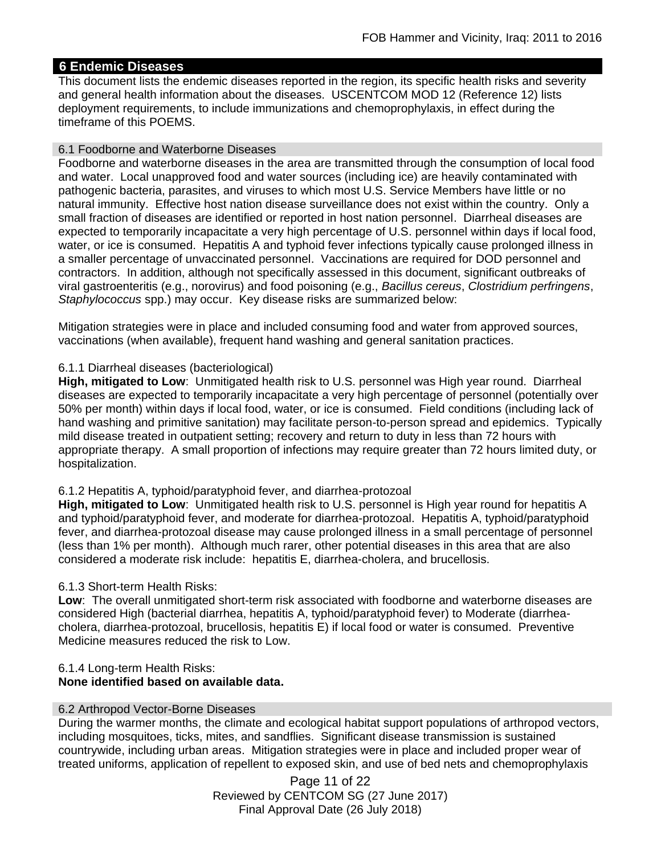# **6 Endemic Diseases**

This document lists the endemic diseases reported in the region, its specific health risks and severity and general health information about the diseases. USCENTCOM MOD 12 (Reference 12) lists deployment requirements, to include immunizations and chemoprophylaxis, in effect during the timeframe of this POEMS.

# 6.1 Foodborne and Waterborne Diseases

Foodborne and waterborne diseases in the area are transmitted through the consumption of local food and water. Local unapproved food and water sources (including ice) are heavily contaminated with pathogenic bacteria, parasites, and viruses to which most U.S. Service Members have little or no natural immunity. Effective host nation disease surveillance does not exist within the country. Only a small fraction of diseases are identified or reported in host nation personnel. Diarrheal diseases are expected to temporarily incapacitate a very high percentage of U.S. personnel within days if local food, water, or ice is consumed. Hepatitis A and typhoid fever infections typically cause prolonged illness in a smaller percentage of unvaccinated personnel. Vaccinations are required for DOD personnel and contractors. In addition, although not specifically assessed in this document, significant outbreaks of viral gastroenteritis (e.g., norovirus) and food poisoning (e.g., *Bacillus cereus*, *Clostridium perfringens*, *Staphylococcus* spp.) may occur. Key disease risks are summarized below:

Mitigation strategies were in place and included consuming food and water from approved sources, vaccinations (when available), frequent hand washing and general sanitation practices.

# 6.1.1 Diarrheal diseases (bacteriological)

**High, mitigated to Low**: Unmitigated health risk to U.S. personnel was High year round. Diarrheal diseases are expected to temporarily incapacitate a very high percentage of personnel (potentially over 50% per month) within days if local food, water, or ice is consumed. Field conditions (including lack of hand washing and primitive sanitation) may facilitate person-to-person spread and epidemics. Typically mild disease treated in outpatient setting; recovery and return to duty in less than 72 hours with appropriate therapy. A small proportion of infections may require greater than 72 hours limited duty, or hospitalization.

# 6.1.2 Hepatitis A, typhoid/paratyphoid fever, and diarrhea-protozoal

**High, mitigated to Low**: Unmitigated health risk to U.S. personnel is High year round for hepatitis A and typhoid/paratyphoid fever, and moderate for diarrhea-protozoal. Hepatitis A, typhoid/paratyphoid fever, and diarrhea-protozoal disease may cause prolonged illness in a small percentage of personnel (less than 1% per month). Although much rarer, other potential diseases in this area that are also considered a moderate risk include: hepatitis E, diarrhea-cholera, and brucellosis.

# 6.1.3 Short-term Health Risks:

**Low**: The overall unmitigated short-term risk associated with foodborne and waterborne diseases are considered High (bacterial diarrhea, hepatitis A, typhoid/paratyphoid fever) to Moderate (diarrheacholera, diarrhea-protozoal, brucellosis, hepatitis E) if local food or water is consumed. Preventive Medicine measures reduced the risk to Low.

## 6.1.4 Long-term Health Risks: **None identified based on available data.**

# 6.2 Arthropod Vector-Borne Diseases

During the warmer months, the climate and ecological habitat support populations of arthropod vectors, including mosquitoes, ticks, mites, and sandflies. Significant disease transmission is sustained countrywide, including urban areas. Mitigation strategies were in place and included proper wear of treated uniforms, application of repellent to exposed skin, and use of bed nets and chemoprophylaxis

> Page 11 of 22 Reviewed by CENTCOM SG (27 June 2017) Final Approval Date (26 July 2018)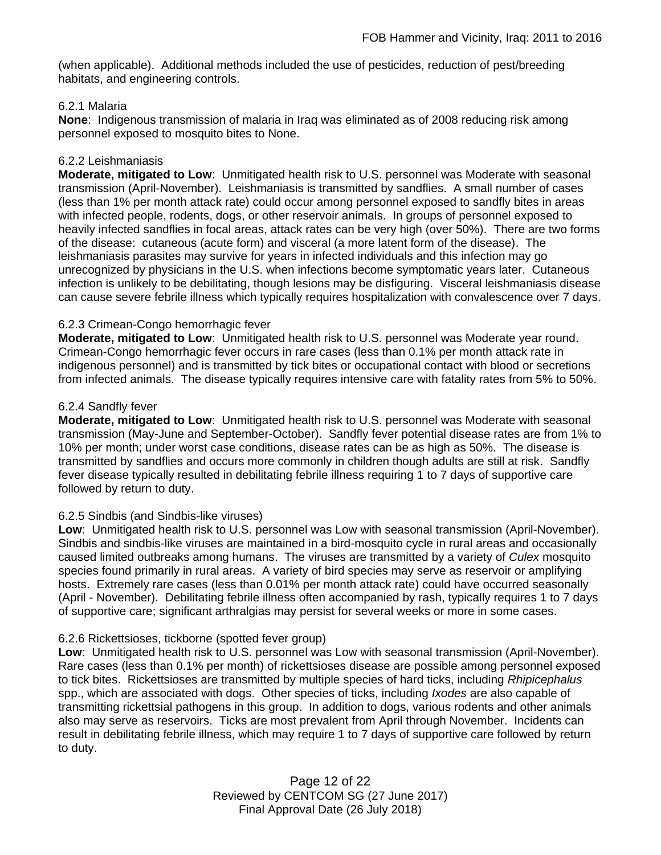(when applicable). Additional methods included the use of pesticides, reduction of pest/breeding habitats, and engineering controls.

# 6.2.1 Malaria

**None**: Indigenous transmission of malaria in Iraq was eliminated as of 2008 reducing risk among personnel exposed to mosquito bites to None.

### 6.2.2 Leishmaniasis

**Moderate, mitigated to Low**: Unmitigated health risk to U.S. personnel was Moderate with seasonal transmission (April-November). Leishmaniasis is transmitted by sandflies. A small number of cases (less than 1% per month attack rate) could occur among personnel exposed to sandfly bites in areas with infected people, rodents, dogs, or other reservoir animals. In groups of personnel exposed to heavily infected sandflies in focal areas, attack rates can be very high (over 50%). There are two forms of the disease: cutaneous (acute form) and visceral (a more latent form of the disease). The leishmaniasis parasites may survive for years in infected individuals and this infection may go unrecognized by physicians in the U.S. when infections become symptomatic years later. Cutaneous infection is unlikely to be debilitating, though lesions may be disfiguring. Visceral leishmaniasis disease can cause severe febrile illness which typically requires hospitalization with convalescence over 7 days.

## 6.2.3 Crimean-Congo hemorrhagic fever

**Moderate, mitigated to Low**: Unmitigated health risk to U.S. personnel was Moderate year round. Crimean-Congo hemorrhagic fever occurs in rare cases (less than 0.1% per month attack rate in indigenous personnel) and is transmitted by tick bites or occupational contact with blood or secretions from infected animals. The disease typically requires intensive care with fatality rates from 5% to 50%.

## 6.2.4 Sandfly fever

**Moderate, mitigated to Low**: Unmitigated health risk to U.S. personnel was Moderate with seasonal transmission (May-June and September-October). Sandfly fever potential disease rates are from 1% to 10% per month; under worst case conditions, disease rates can be as high as 50%. The disease is transmitted by sandflies and occurs more commonly in children though adults are still at risk. Sandfly fever disease typically resulted in debilitating febrile illness requiring 1 to 7 days of supportive care followed by return to duty.

### 6.2.5 Sindbis (and Sindbis-like viruses)

**Low**: Unmitigated health risk to U.S. personnel was Low with seasonal transmission (April-November). Sindbis and sindbis-like viruses are maintained in a bird-mosquito cycle in rural areas and occasionally caused limited outbreaks among humans. The viruses are transmitted by a variety of *Culex* mosquito species found primarily in rural areas. A variety of bird species may serve as reservoir or amplifying hosts. Extremely rare cases (less than 0.01% per month attack rate) could have occurred seasonally (April - November). Debilitating febrile illness often accompanied by rash, typically requires 1 to 7 days of supportive care; significant arthralgias may persist for several weeks or more in some cases.

### 6.2.6 Rickettsioses, tickborne (spotted fever group)

**Low**: Unmitigated health risk to U.S. personnel was Low with seasonal transmission (April-November). Rare cases (less than 0.1% per month) of rickettsioses disease are possible among personnel exposed to tick bites. Rickettsioses are transmitted by multiple species of hard ticks, including *Rhipicephalus* spp., which are associated with dogs. Other species of ticks, including *Ixodes* are also capable of transmitting rickettsial pathogens in this group. In addition to dogs, various rodents and other animals also may serve as reservoirs. Ticks are most prevalent from April through November. Incidents can result in debilitating febrile illness, which may require 1 to 7 days of supportive care followed by return to duty.

> Page 12 of 22 Reviewed by CENTCOM SG (27 June 2017) Final Approval Date (26 July 2018)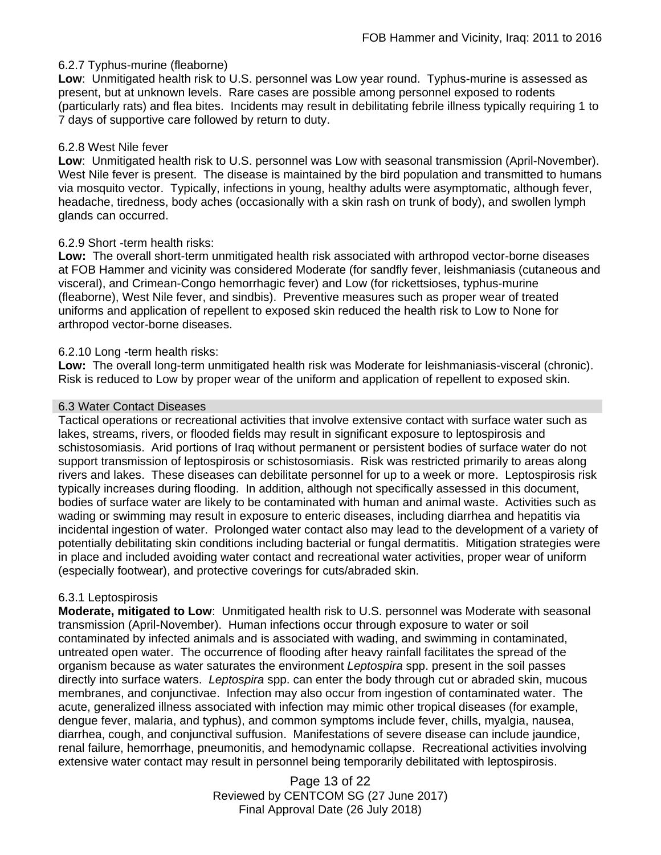# 6.2.7 Typhus-murine (fleaborne)

**Low**: Unmitigated health risk to U.S. personnel was Low year round. Typhus-murine is assessed as present, but at unknown levels. Rare cases are possible among personnel exposed to rodents (particularly rats) and flea bites. Incidents may result in debilitating febrile illness typically requiring 1 to 7 days of supportive care followed by return to duty.

### 6.2.8 West Nile fever

**Low**: Unmitigated health risk to U.S. personnel was Low with seasonal transmission (April-November). West Nile fever is present. The disease is maintained by the bird population and transmitted to humans via mosquito vector. Typically, infections in young, healthy adults were asymptomatic, although fever, headache, tiredness, body aches (occasionally with a skin rash on trunk of body), and swollen lymph glands can occurred.

## 6.2.9 Short -term health risks:

**Low:** The overall short-term unmitigated health risk associated with arthropod vector-borne diseases at FOB Hammer and vicinity was considered Moderate (for sandfly fever, leishmaniasis (cutaneous and visceral), and Crimean-Congo hemorrhagic fever) and Low (for rickettsioses, typhus-murine (fleaborne), West Nile fever, and sindbis). Preventive measures such as proper wear of treated uniforms and application of repellent to exposed skin reduced the health risk to Low to None for arthropod vector-borne diseases.

## 6.2.10 Long -term health risks:

**Low:** The overall long-term unmitigated health risk was Moderate for leishmaniasis-visceral (chronic). Risk is reduced to Low by proper wear of the uniform and application of repellent to exposed skin.

### 6.3 Water Contact Diseases

Tactical operations or recreational activities that involve extensive contact with surface water such as lakes, streams, rivers, or flooded fields may result in significant exposure to leptospirosis and schistosomiasis. Arid portions of Iraq without permanent or persistent bodies of surface water do not support transmission of leptospirosis or schistosomiasis. Risk was restricted primarily to areas along rivers and lakes. These diseases can debilitate personnel for up to a week or more. Leptospirosis risk typically increases during flooding. In addition, although not specifically assessed in this document, bodies of surface water are likely to be contaminated with human and animal waste. Activities such as wading or swimming may result in exposure to enteric diseases, including diarrhea and hepatitis via incidental ingestion of water. Prolonged water contact also may lead to the development of a variety of potentially debilitating skin conditions including bacterial or fungal dermatitis. Mitigation strategies were in place and included avoiding water contact and recreational water activities, proper wear of uniform (especially footwear), and protective coverings for cuts/abraded skin.

# 6.3.1 Leptospirosis

**Moderate, mitigated to Low**: Unmitigated health risk to U.S. personnel was Moderate with seasonal transmission (April-November). Human infections occur through exposure to water or soil contaminated by infected animals and is associated with wading, and swimming in contaminated, untreated open water. The occurrence of flooding after heavy rainfall facilitates the spread of the organism because as water saturates the environment *Leptospira* spp. present in the soil passes directly into surface waters. *Leptospira* spp. can enter the body through cut or abraded skin, mucous membranes, and conjunctivae. Infection may also occur from ingestion of contaminated water. The acute, generalized illness associated with infection may mimic other tropical diseases (for example, dengue fever, malaria, and typhus), and common symptoms include fever, chills, myalgia, nausea, diarrhea, cough, and conjunctival suffusion. Manifestations of severe disease can include jaundice, renal failure, hemorrhage, pneumonitis, and hemodynamic collapse. Recreational activities involving extensive water contact may result in personnel being temporarily debilitated with leptospirosis.

> Page 13 of 22 Reviewed by CENTCOM SG (27 June 2017) Final Approval Date (26 July 2018)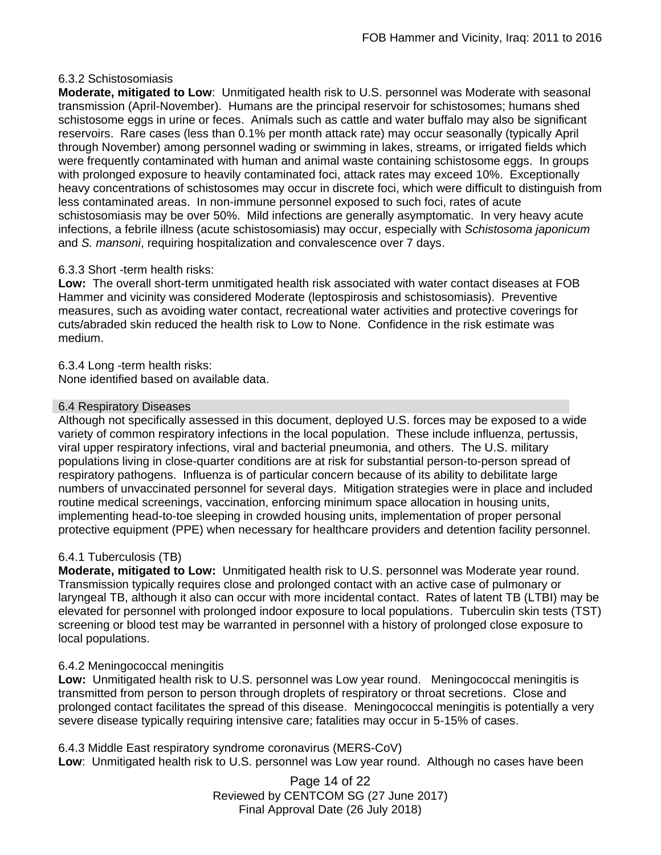# 6.3.2 Schistosomiasis

**Moderate, mitigated to Low**: Unmitigated health risk to U.S. personnel was Moderate with seasonal transmission (April-November). Humans are the principal reservoir for schistosomes; humans shed schistosome eggs in urine or feces. Animals such as cattle and water buffalo may also be significant reservoirs. Rare cases (less than 0.1% per month attack rate) may occur seasonally (typically April through November) among personnel wading or swimming in lakes, streams, or irrigated fields which were frequently contaminated with human and animal waste containing schistosome eggs. In groups with prolonged exposure to heavily contaminated foci, attack rates may exceed 10%. Exceptionally heavy concentrations of schistosomes may occur in discrete foci, which were difficult to distinguish from less contaminated areas. In non-immune personnel exposed to such foci, rates of acute schistosomiasis may be over 50%. Mild infections are generally asymptomatic. In very heavy acute infections, a febrile illness (acute schistosomiasis) may occur, especially with *Schistosoma japonicum*  and *S. mansoni*, requiring hospitalization and convalescence over 7 days.

# 6.3.3 Short -term health risks:

**Low:** The overall short-term unmitigated health risk associated with water contact diseases at FOB Hammer and vicinity was considered Moderate (leptospirosis and schistosomiasis). Preventive measures, such as avoiding water contact, recreational water activities and protective coverings for cuts/abraded skin reduced the health risk to Low to None. Confidence in the risk estimate was medium.

6.3.4 Long -term health risks:

None identified based on available data.

# 6.4 Respiratory Diseases

Although not specifically assessed in this document, deployed U.S. forces may be exposed to a wide variety of common respiratory infections in the local population. These include influenza, pertussis, viral upper respiratory infections, viral and bacterial pneumonia, and others. The U.S. military populations living in close-quarter conditions are at risk for substantial person-to-person spread of respiratory pathogens. Influenza is of particular concern because of its ability to debilitate large numbers of unvaccinated personnel for several days. Mitigation strategies were in place and included routine medical screenings, vaccination, enforcing minimum space allocation in housing units, implementing head-to-toe sleeping in crowded housing units, implementation of proper personal protective equipment (PPE) when necessary for healthcare providers and detention facility personnel.

# 6.4.1 Tuberculosis (TB)

**Moderate, mitigated to Low:** Unmitigated health risk to U.S. personnel was Moderate year round. Transmission typically requires close and prolonged contact with an active case of pulmonary or laryngeal TB, although it also can occur with more incidental contact. Rates of latent TB (LTBI) may be elevated for personnel with prolonged indoor exposure to local populations. Tuberculin skin tests (TST) screening or blood test may be warranted in personnel with a history of prolonged close exposure to local populations.

# 6.4.2 Meningococcal meningitis

**Low:** Unmitigated health risk to U.S. personnel was Low year round. Meningococcal meningitis is transmitted from person to person through droplets of respiratory or throat secretions. Close and prolonged contact facilitates the spread of this disease. Meningococcal meningitis is potentially a very severe disease typically requiring intensive care; fatalities may occur in 5-15% of cases.

6.4.3 Middle East respiratory syndrome coronavirus (MERS-CoV)

**Low**: Unmitigated health risk to U.S. personnel was Low year round. Although no cases have been

Page 14 of 22 Reviewed by CENTCOM SG (27 June 2017) Final Approval Date (26 July 2018)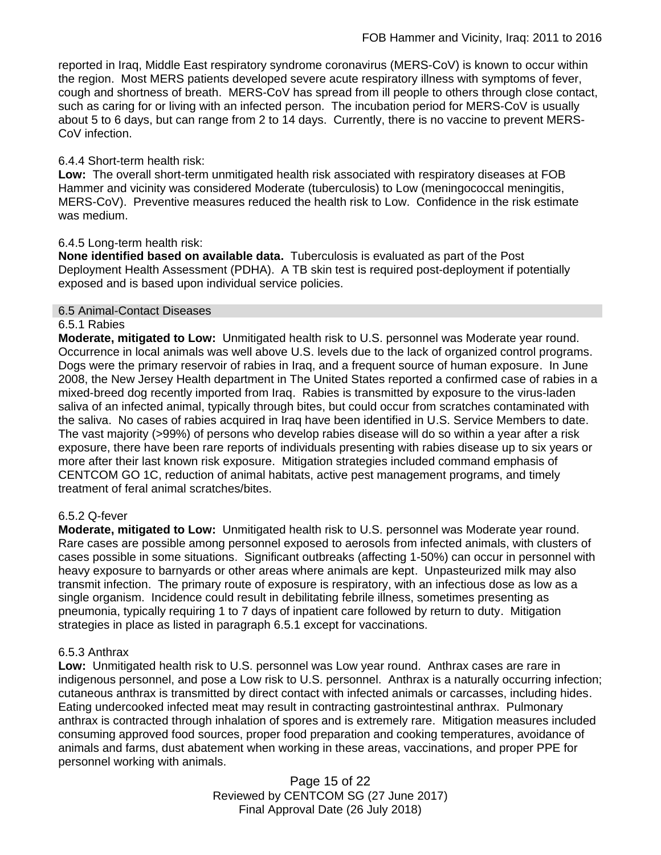reported in Iraq, Middle East respiratory syndrome coronavirus (MERS-CoV) is known to occur within the region. Most MERS patients developed severe acute respiratory illness with symptoms of fever, cough and shortness of breath. MERS-CoV has spread from ill people to others through close contact, such as caring for or living with an infected person. The incubation period for MERS-CoV is usually about 5 to 6 days, but can range from 2 to 14 days. Currently, there is no vaccine to prevent MERS-CoV infection.

# 6.4.4 Short-term health risk:

**Low:** The overall short-term unmitigated health risk associated with respiratory diseases at FOB Hammer and vicinity was considered Moderate (tuberculosis) to Low (meningococcal meningitis, MERS-CoV). Preventive measures reduced the health risk to Low. Confidence in the risk estimate was medium.

## 6.4.5 Long-term health risk:

**None identified based on available data.** Tuberculosis is evaluated as part of the Post Deployment Health Assessment (PDHA). A TB skin test is required post-deployment if potentially exposed and is based upon individual service policies.

### 6.5 Animal-Contact Diseases

### 6.5.1 Rabies

**Moderate, mitigated to Low:** Unmitigated health risk to U.S. personnel was Moderate year round. Occurrence in local animals was well above U.S. levels due to the lack of organized control programs. Dogs were the primary reservoir of rabies in Iraq, and a frequent source of human exposure. In June 2008, the New Jersey Health department in The United States reported a confirmed case of rabies in a mixed-breed dog recently imported from Iraq. Rabies is transmitted by exposure to the virus-laden saliva of an infected animal, typically through bites, but could occur from scratches contaminated with the saliva. No cases of rabies acquired in Iraq have been identified in U.S. Service Members to date. The vast majority (>99%) of persons who develop rabies disease will do so within a year after a risk exposure, there have been rare reports of individuals presenting with rabies disease up to six years or more after their last known risk exposure. Mitigation strategies included command emphasis of CENTCOM GO 1C, reduction of animal habitats, active pest management programs, and timely treatment of feral animal scratches/bites.

### 6.5.2 Q-fever

**Moderate, mitigated to Low:** Unmitigated health risk to U.S. personnel was Moderate year round. Rare cases are possible among personnel exposed to aerosols from infected animals, with clusters of cases possible in some situations. Significant outbreaks (affecting 1-50%) can occur in personnel with heavy exposure to barnyards or other areas where animals are kept. Unpasteurized milk may also transmit infection. The primary route of exposure is respiratory, with an infectious dose as low as a single organism. Incidence could result in debilitating febrile illness, sometimes presenting as pneumonia, typically requiring 1 to 7 days of inpatient care followed by return to duty. Mitigation strategies in place as listed in paragraph 6.5.1 except for vaccinations.

### 6.5.3 Anthrax

**Low:** Unmitigated health risk to U.S. personnel was Low year round.Anthrax cases are rare in indigenous personnel, and pose a Low risk to U.S. personnel. Anthrax is a naturally occurring infection; cutaneous anthrax is transmitted by direct contact with infected animals or carcasses, including hides. Eating undercooked infected meat may result in contracting gastrointestinal anthrax. Pulmonary anthrax is contracted through inhalation of spores and is extremely rare. Mitigation measures included consuming approved food sources, proper food preparation and cooking temperatures, avoidance of animals and farms, dust abatement when working in these areas, vaccinations, and proper PPE for personnel working with animals.

> Page 15 of 22 Reviewed by CENTCOM SG (27 June 2017) Final Approval Date (26 July 2018)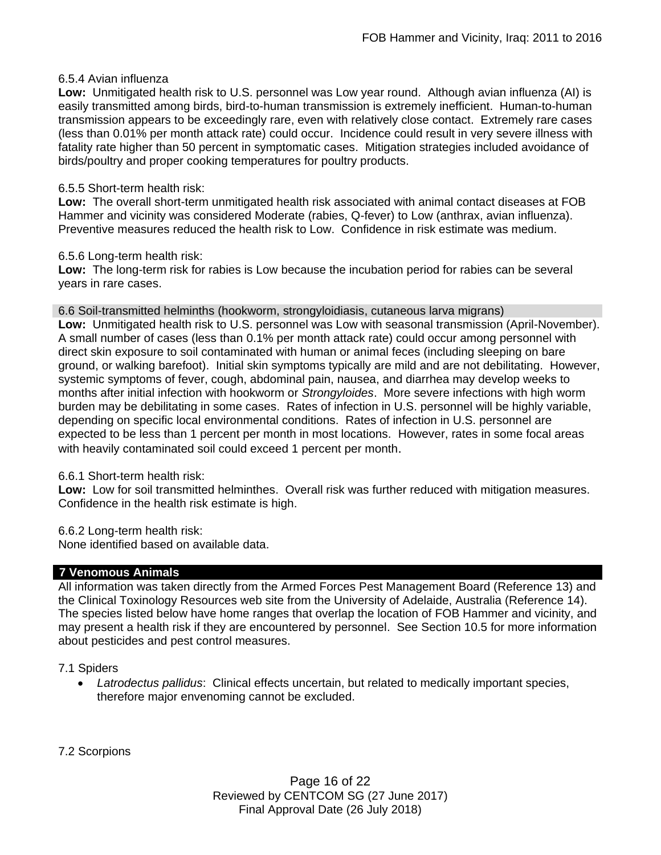# 6.5.4 Avian influenza

**Low:** Unmitigated health risk to U.S. personnel was Low year round. Although avian influenza (AI) is easily transmitted among birds, bird-to-human transmission is extremely inefficient. Human-to-human transmission appears to be exceedingly rare, even with relatively close contact. Extremely rare cases (less than 0.01% per month attack rate) could occur. Incidence could result in very severe illness with fatality rate higher than 50 percent in symptomatic cases. Mitigation strategies included avoidance of birds/poultry and proper cooking temperatures for poultry products.

# 6.5.5 Short-term health risk:

**Low:** The overall short-term unmitigated health risk associated with animal contact diseases at FOB Hammer and vicinity was considered Moderate (rabies, Q-fever) to Low (anthrax, avian influenza). Preventive measures reduced the health risk to Low. Confidence in risk estimate was medium.

## 6.5.6 Long-term health risk:

**Low:** The long-term risk for rabies is Low because the incubation period for rabies can be several years in rare cases.

### 6.6 Soil-transmitted helminths (hookworm, strongyloidiasis, cutaneous larva migrans)

**Low:** Unmitigated health risk to U.S. personnel was Low with seasonal transmission (April-November). A small number of cases (less than 0.1% per month attack rate) could occur among personnel with direct skin exposure to soil contaminated with human or animal feces (including sleeping on bare ground, or walking barefoot). Initial skin symptoms typically are mild and are not debilitating. However, systemic symptoms of fever, cough, abdominal pain, nausea, and diarrhea may develop weeks to months after initial infection with hookworm or *Strongyloides*. More severe infections with high worm burden may be debilitating in some cases. Rates of infection in U.S. personnel will be highly variable, depending on specific local environmental conditions. Rates of infection in U.S. personnel are expected to be less than 1 percent per month in most locations. However, rates in some focal areas with heavily contaminated soil could exceed 1 percent per month.

### 6.6.1 Short-term health risk:

**Low:** Low for soil transmitted helminthes. Overall risk was further reduced with mitigation measures. Confidence in the health risk estimate is high.

6.6.2 Long-term health risk:

None identified based on available data.

# **7 Venomous Animals**

All information was taken directly from the Armed Forces Pest Management Board (Reference 13) and the Clinical Toxinology Resources web site from the University of Adelaide, Australia (Reference 14). The species listed below have home ranges that overlap the location of FOB Hammer and vicinity, and may present a health risk if they are encountered by personnel. See Section 10.5 for more information about pesticides and pest control measures.

### 7.1 Spiders

 *Latrodectus pallidus*: Clinical effects uncertain, but related to medically important species, therefore major envenoming cannot be excluded.

7.2 Scorpions

Page 16 of 22 Reviewed by CENTCOM SG (27 June 2017) Final Approval Date (26 July 2018)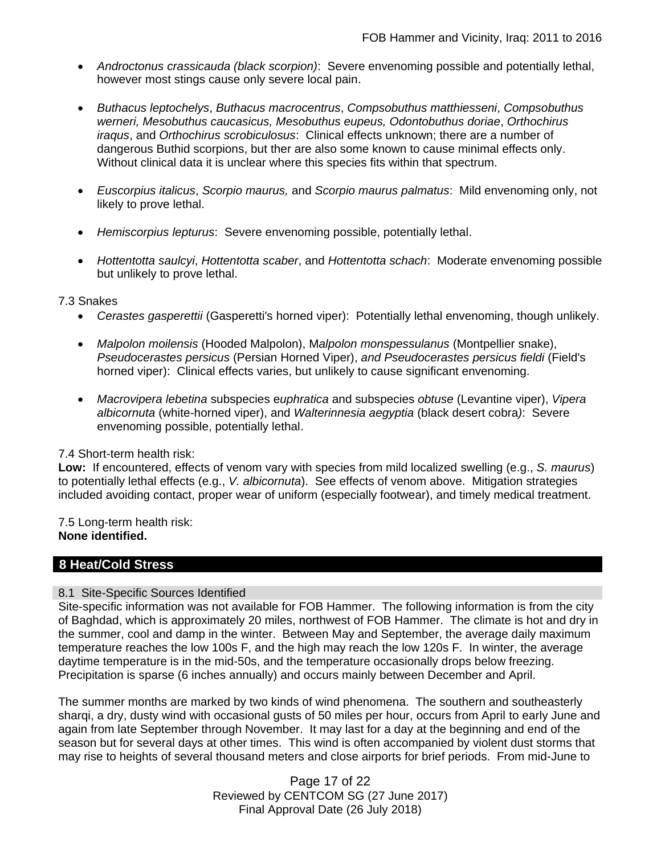- *Androctonus crassicauda (black scorpion)*:Severe envenoming possible and potentially lethal, however most stings cause only severe local pain.
- *Buthacus leptochelys*, *Buthacus macrocentrus*, *Compsobuthus matthiesseni*, *Compsobuthus werneri, Mesobuthus caucasicus, Mesobuthus eupeus, Odontobuthus doriae*, *Orthochirus iraqus*, and *Orthochirus scrobiculosus*: Clinical effects unknown; there are a number of dangerous Buthid scorpions, but ther are also some known to cause minimal effects only. Without clinical data it is unclear where this species fits within that spectrum.
- *Euscorpius italicus*, *Scorpio maurus,* and *Scorpio maurus palmatus*: Mild envenoming only, not likely to prove lethal.
- *Hemiscorpius lepturus*: Severe envenoming possible, potentially lethal.
- *Hottentotta saulcyi*, *Hottentotta scaber*, and *Hottentotta schach*: Moderate envenoming possible but unlikely to prove lethal.

### 7.3 Snakes

- *Cerastes gasperettii* (Gasperetti's horned viper): Potentially lethal envenoming, though unlikely.
- *Malpolon moilensis* (Hooded Malpolon), M*alpolon monspessulanus* (Montpellier snake), *Pseudocerastes persicus* (Persian Horned Viper), *and Pseudocerastes persicus fieldi* (Field's horned viper): Clinical effects varies, but unlikely to cause significant envenoming.
- *Macrovipera lebetina* subspecies e*uphratica* and subspecies *obtuse* (Levantine viper), *Vipera albicornuta* (white-horned viper), and *Walterinnesia aegyptia* (black desert cobra*)*: Severe envenoming possible, potentially lethal.

### 7.4 Short-term health risk:

**Low:** If encountered, effects of venom vary with species from mild localized swelling (e.g., *S. maurus*) to potentially lethal effects (e.g., *V. albicornuta*). See effects of venom above. Mitigation strategies included avoiding contact, proper wear of uniform (especially footwear), and timely medical treatment.

7.5 Long-term health risk: **None identified.**

# **8 Heat/Cold Stress**

### 8.1 Site-Specific Sources Identified

Site-specific information was not available for FOB Hammer. The following information is from the city of Baghdad, which is approximately 20 miles, northwest of FOB Hammer. The climate is hot and dry in the summer, cool and damp in the winter. Between May and September, the average daily maximum temperature reaches the low 100s F, and the high may reach the low 120s F. In winter, the average daytime temperature is in the mid-50s, and the temperature occasionally drops below freezing. Precipitation is sparse (6 inches annually) and occurs mainly between December and April.

The summer months are marked by two kinds of wind phenomena. The southern and southeasterly sharqi, a dry, dusty wind with occasional gusts of 50 miles per hour, occurs from April to early June and again from late September through November. It may last for a day at the beginning and end of the season but for several days at other times. This wind is often accompanied by violent dust storms that may rise to heights of several thousand meters and close airports for brief periods. From mid-June to

> Page 17 of 22 Reviewed by CENTCOM SG (27 June 2017) Final Approval Date (26 July 2018)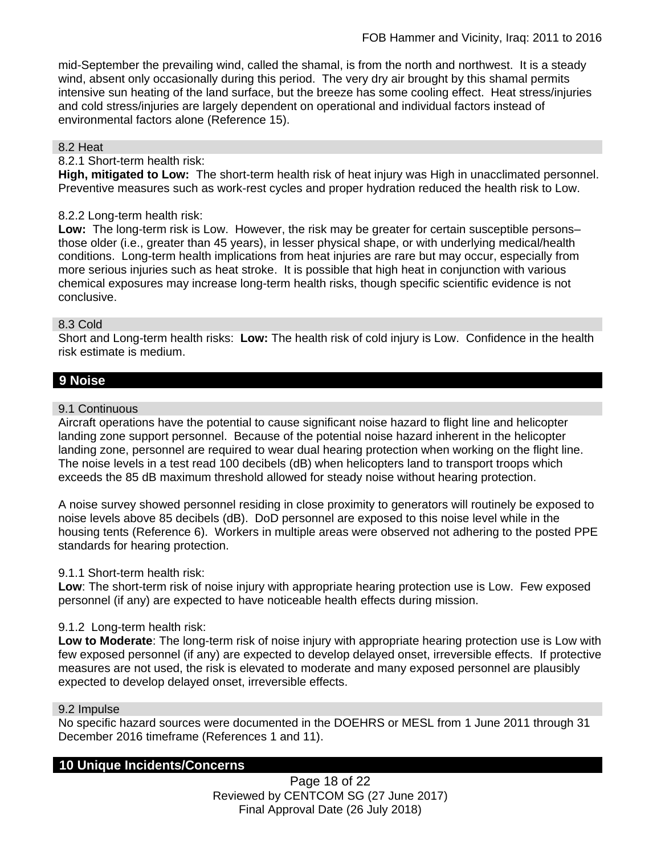mid-September the prevailing wind, called the shamal, is from the north and northwest. It is a steady wind, absent only occasionally during this period. The very dry air brought by this shamal permits intensive sun heating of the land surface, but the breeze has some cooling effect. Heat stress/injuries and cold stress/injuries are largely dependent on operational and individual factors instead of environmental factors alone (Reference 15).

### 8.2 Heat

#### 8.2.1 Short-term health risk:

**High, mitigated to Low:** The short-term health risk of heat injury was High in unacclimated personnel. Preventive measures such as work-rest cycles and proper hydration reduced the health risk to Low.

### 8.2.2 Long-term health risk:

**Low:** The long-term risk is Low. However, the risk may be greater for certain susceptible persons– those older (i.e., greater than 45 years), in lesser physical shape, or with underlying medical/health conditions. Long-term health implications from heat injuries are rare but may occur, especially from more serious injuries such as heat stroke. It is possible that high heat in conjunction with various chemical exposures may increase long-term health risks, though specific scientific evidence is not conclusive.

#### 8.3 Cold

Short and Long-term health risks: **Low:** The health risk of cold injury is Low. Confidence in the health risk estimate is medium.

# **9 Noise**

#### 9.1 Continuous

Aircraft operations have the potential to cause significant noise hazard to flight line and helicopter landing zone support personnel. Because of the potential noise hazard inherent in the helicopter landing zone, personnel are required to wear dual hearing protection when working on the flight line. The noise levels in a test read 100 decibels (dB) when helicopters land to transport troops which exceeds the 85 dB maximum threshold allowed for steady noise without hearing protection.

A noise survey showed personnel residing in close proximity to generators will routinely be exposed to noise levels above 85 decibels (dB). DoD personnel are exposed to this noise level while in the housing tents (Reference 6). Workers in multiple areas were observed not adhering to the posted PPE standards for hearing protection.

### 9.1.1 Short-term health risk:

**Low**: The short-term risk of noise injury with appropriate hearing protection use is Low. Few exposed personnel (if any) are expected to have noticeable health effects during mission.

### 9.1.2 Long-term health risk:

**Low to Moderate**: The long-term risk of noise injury with appropriate hearing protection use is Low with few exposed personnel (if any) are expected to develop delayed onset, irreversible effects. If protective measures are not used, the risk is elevated to moderate and many exposed personnel are plausibly expected to develop delayed onset, irreversible effects.

#### 9.2 Impulse

No specific hazard sources were documented in the DOEHRS or MESL from 1 June 2011 through 31 December 2016 timeframe (References 1 and 11).

## **10 Unique Incidents/Concerns**

Page 18 of 22 Reviewed by CENTCOM SG (27 June 2017) Final Approval Date (26 July 2018)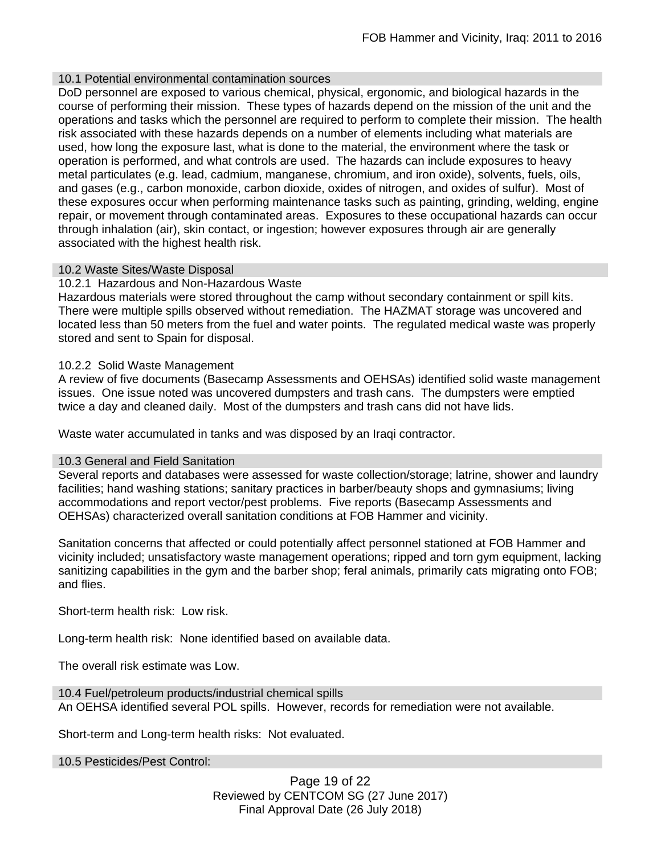# 10.1 Potential environmental contamination sources

DoD personnel are exposed to various chemical, physical, ergonomic, and biological hazards in the course of performing their mission. These types of hazards depend on the mission of the unit and the operations and tasks which the personnel are required to perform to complete their mission. The health risk associated with these hazards depends on a number of elements including what materials are used, how long the exposure last, what is done to the material, the environment where the task or operation is performed, and what controls are used. The hazards can include exposures to heavy metal particulates (e.g. lead, cadmium, manganese, chromium, and iron oxide), solvents, fuels, oils, and gases (e.g., carbon monoxide, carbon dioxide, oxides of nitrogen, and oxides of sulfur). Most of these exposures occur when performing maintenance tasks such as painting, grinding, welding, engine repair, or movement through contaminated areas. Exposures to these occupational hazards can occur through inhalation (air), skin contact, or ingestion; however exposures through air are generally associated with the highest health risk.

## 10.2 Waste Sites/Waste Disposal

## 10.2.1 Hazardous and Non-Hazardous Waste

Hazardous materials were stored throughout the camp without secondary containment or spill kits. There were multiple spills observed without remediation. The HAZMAT storage was uncovered and located less than 50 meters from the fuel and water points. The regulated medical waste was properly stored and sent to Spain for disposal.

## 10.2.2 Solid Waste Management

A review of five documents (Basecamp Assessments and OEHSAs) identified solid waste management issues. One issue noted was uncovered dumpsters and trash cans. The dumpsters were emptied twice a day and cleaned daily. Most of the dumpsters and trash cans did not have lids.

Waste water accumulated in tanks and was disposed by an Iraqi contractor.

### 10.3 General and Field Sanitation

Several reports and databases were assessed for waste collection/storage; latrine, shower and laundry facilities; hand washing stations; sanitary practices in barber/beauty shops and gymnasiums; living accommodations and report vector/pest problems. Five reports (Basecamp Assessments and OEHSAs) characterized overall sanitation conditions at FOB Hammer and vicinity.

Sanitation concerns that affected or could potentially affect personnel stationed at FOB Hammer and vicinity included; unsatisfactory waste management operations; ripped and torn gym equipment, lacking sanitizing capabilities in the gym and the barber shop; feral animals, primarily cats migrating onto FOB; and flies.

Short-term health risk: Low risk.

Long-term health risk: None identified based on available data.

The overall risk estimate was Low.

10.4 Fuel/petroleum products/industrial chemical spills An OEHSA identified several POL spills. However, records for remediation were not available.

Short-term and Long-term health risks: Not evaluated.

10.5 Pesticides/Pest Control:

Page 19 of 22 Reviewed by CENTCOM SG (27 June 2017) Final Approval Date (26 July 2018)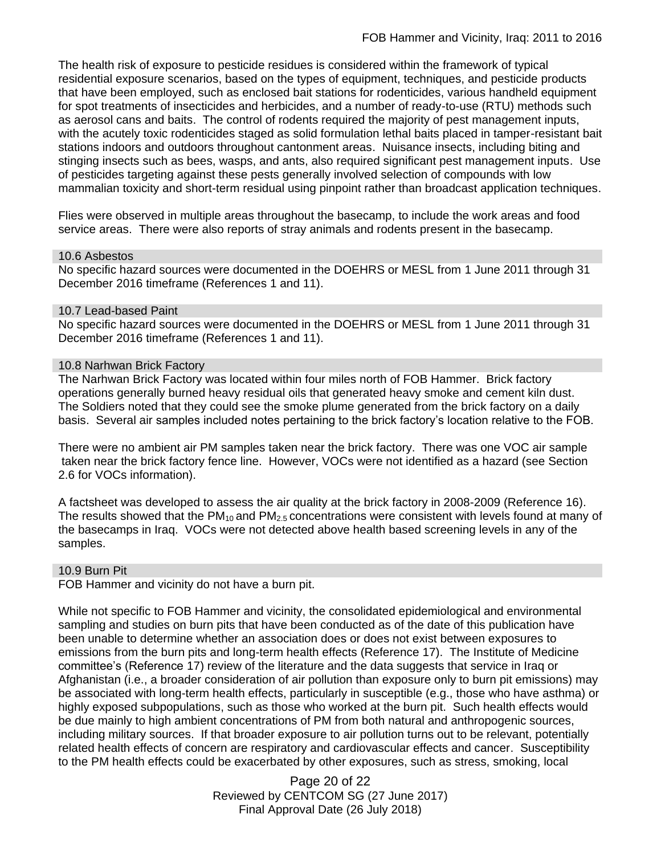The health risk of exposure to pesticide residues is considered within the framework of typical residential exposure scenarios, based on the types of equipment, techniques, and pesticide products that have been employed, such as enclosed bait stations for rodenticides, various handheld equipment for spot treatments of insecticides and herbicides, and a number of ready-to-use (RTU) methods such as aerosol cans and baits. The control of rodents required the majority of pest management inputs, with the acutely toxic rodenticides staged as solid formulation lethal baits placed in tamper-resistant bait stations indoors and outdoors throughout cantonment areas. Nuisance insects, including biting and stinging insects such as bees, wasps, and ants, also required significant pest management inputs. Use of pesticides targeting against these pests generally involved selection of compounds with low mammalian toxicity and short-term residual using pinpoint rather than broadcast application techniques.

Flies were observed in multiple areas throughout the basecamp, to include the work areas and food service areas. There were also reports of stray animals and rodents present in the basecamp.

#### 10.6 Asbestos

No specific hazard sources were documented in the DOEHRS or MESL from 1 June 2011 through 31 December 2016 timeframe (References 1 and 11).

### 10.7 Lead-based Paint

No specific hazard sources were documented in the DOEHRS or MESL from 1 June 2011 through 31 December 2016 timeframe (References 1 and 11).

#### 10.8 Narhwan Brick Factory

The Narhwan Brick Factory was located within four miles north of FOB Hammer. Brick factory operations generally burned heavy residual oils that generated heavy smoke and cement kiln dust. The Soldiers noted that they could see the smoke plume generated from the brick factory on a daily basis. Several air samples included notes pertaining to the brick factory's location relative to the FOB.

There were no ambient air PM samples taken near the brick factory. There was one VOC air sample taken near the brick factory fence line. However, VOCs were not identified as a hazard (see Section 2.6 for VOCs information).

A factsheet was developed to assess the air quality at the brick factory in 2008-2009 (Reference 16). The results showed that the  $PM_{10}$  and  $PM_{2.5}$  concentrations were consistent with levels found at many of the basecamps in Iraq. VOCs were not detected above health based screening levels in any of the samples.

### 10.9 Burn Pit

FOB Hammer and vicinity do not have a burn pit.

While not specific to FOB Hammer and vicinity, the consolidated epidemiological and environmental sampling and studies on burn pits that have been conducted as of the date of this publication have been unable to determine whether an association does or does not exist between exposures to emissions from the burn pits and long-term health effects (Reference 17). The Institute of Medicine committee's (Reference 17) review of the literature and the data suggests that service in Iraq or Afghanistan (i.e., a broader consideration of air pollution than exposure only to burn pit emissions) may be associated with long-term health effects, particularly in susceptible (e.g., those who have asthma) or highly exposed subpopulations, such as those who worked at the burn pit. Such health effects would be due mainly to high ambient concentrations of PM from both natural and anthropogenic sources, including military sources. If that broader exposure to air pollution turns out to be relevant, potentially related health effects of concern are respiratory and cardiovascular effects and cancer. Susceptibility to the PM health effects could be exacerbated by other exposures, such as stress, smoking, local

> Page 20 of 22 Reviewed by CENTCOM SG (27 June 2017) Final Approval Date (26 July 2018)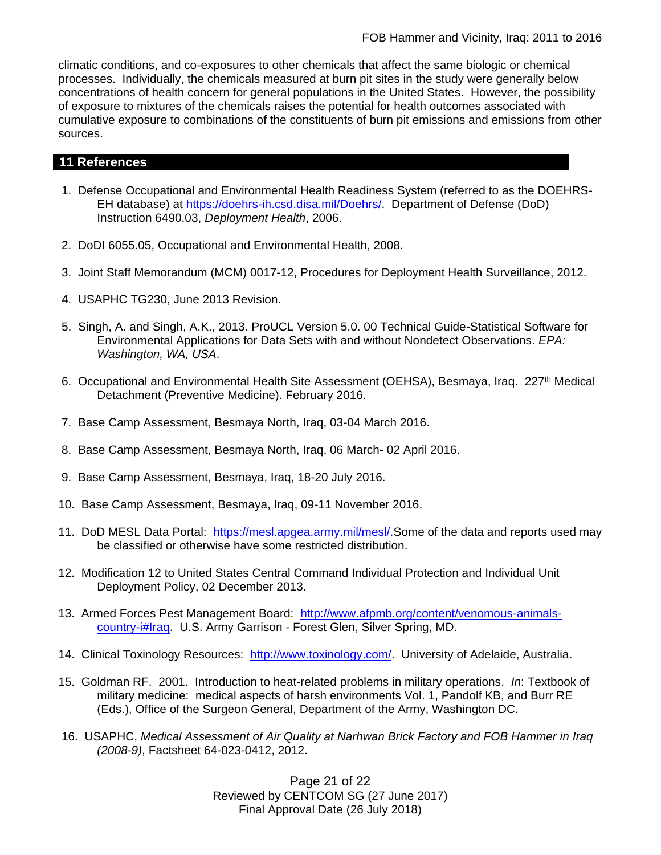climatic conditions, and co-exposures to other chemicals that affect the same biologic or chemical processes. Individually, the chemicals measured at burn pit sites in the study were generally below concentrations of health concern for general populations in the United States. However, the possibility of exposure to mixtures of the chemicals raises the potential for health outcomes associated with cumulative exposure to combinations of the constituents of burn pit emissions and emissions from other sources.

# **11 References**

- 1. Defense Occupational and Environmental Health Readiness System (referred to as the DOEHRS-EH database) at https://doehrs-ih.csd.disa.mil/Doehrs/. Department of Defense (DoD) Instruction 6490.03, *Deployment Health*, 2006.
- 2. DoDI 6055.05, Occupational and Environmental Health, 2008.
- 3. Joint Staff Memorandum (MCM) 0017-12, Procedures for Deployment Health Surveillance, 2012.
- 4. USAPHC TG230, June 2013 Revision.
- 5. Singh, A. and Singh, A.K., 2013. ProUCL Version 5.0. 00 Technical Guide-Statistical Software for Environmental Applications for Data Sets with and without Nondetect Observations. *EPA: Washington, WA, USA*.
- 6. Occupational and Environmental Health Site Assessment (OEHSA), Besmaya, Irag. 227<sup>th</sup> Medical Detachment (Preventive Medicine). February 2016.
- 7. Base Camp Assessment, Besmaya North, Iraq, 03-04 March 2016.
- 8. Base Camp Assessment, Besmaya North, Iraq, 06 March- 02 April 2016.
- 9. Base Camp Assessment, Besmaya, Iraq, 18-20 July 2016.
- 10. Base Camp Assessment, Besmaya, Iraq, 09-11 November 2016.
- 11. DoD MESL Data Portal: https://mesl.apgea.army.mil/mesl/.Some of the data and reports used may be classified or otherwise have some restricted distribution.
- 12. Modification 12 to United States Central Command Individual Protection and Individual Unit Deployment Policy, 02 December 2013.
- 13. Armed Forces Pest Management Board: [http://www.afpmb.org/content/venomous-animals](http://www.afpmb.org/content/venomous-animals-country-i#Iraq)[country-i#Iraq.](http://www.afpmb.org/content/venomous-animals-country-i#Iraq) U.S. Army Garrison - Forest Glen, Silver Spring, MD.
- 14. Clinical Toxinology Resources: [http://www.toxinology.com/.](http://www.toxinology.com/) University of Adelaide, Australia.
- 15. Goldman RF. 2001. Introduction to heat-related problems in military operations. *In*: Textbook of military medicine: medical aspects of harsh environments Vol. 1, Pandolf KB, and Burr RE (Eds.), Office of the Surgeon General, Department of the Army, Washington DC.
- 16. USAPHC, *Medical Assessment of Air Quality at Narhwan Brick Factory and FOB Hammer in Iraq (2008-9)*, Factsheet 64-023-0412, 2012.

Page 21 of 22 Reviewed by CENTCOM SG (27 June 2017) Final Approval Date (26 July 2018)